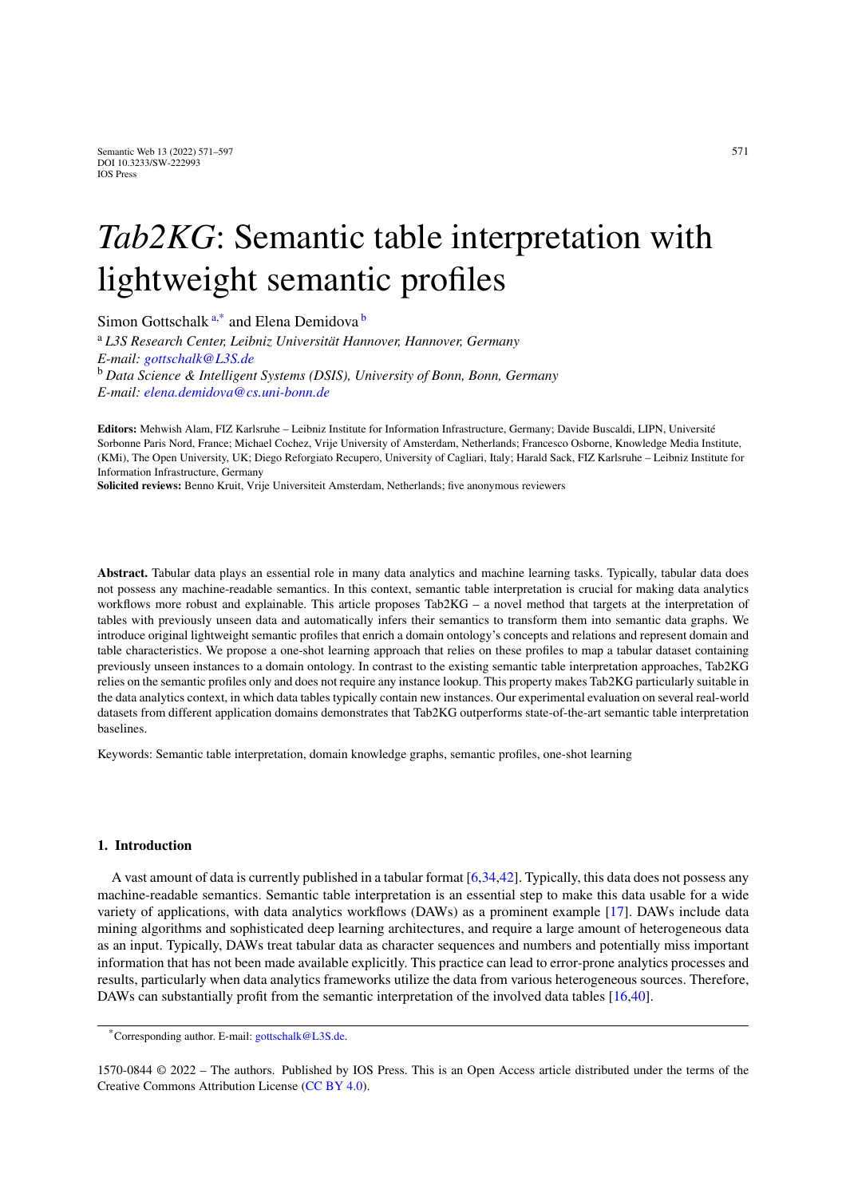# *Tab2KG*: Semantic table interpretation with lightweight semantic profiles

<span id="page-0-0"></span>Simon Gottsch[a](#page-0-0)lk<sup>a[,\\*](#page-0-1)</sup> and Elena Demidova<sup>[b](#page-0-2)</sup>

<span id="page-0-2"></span><sup>a</sup> *L3S Research Center, Leibniz Universität Hannover, Hannover, Germany E-mail: [gottschalk@L3S.de](mailto:gottschalk@L3S.de)* <sup>b</sup> *Data Science & Intelligent Systems (DSIS), University of Bonn, Bonn, Germany E-mail: [elena.demidova@cs.uni-bonn.de](mailto:elena.demidova@cs.uni-bonn.de)*

**Editors:** Mehwish Alam, FIZ Karlsruhe – Leibniz Institute for Information Infrastructure, Germany; Davide Buscaldi, LIPN, Université Sorbonne Paris Nord, France; Michael Cochez, Vrije University of Amsterdam, Netherlands; Francesco Osborne, Knowledge Media Institute, (KMi), The Open University, UK; Diego Reforgiato Recupero, University of Cagliari, Italy; Harald Sack, FIZ Karlsruhe – Leibniz Institute for Information Infrastructure, Germany

**Solicited reviews:** Benno Kruit, Vrije Universiteit Amsterdam, Netherlands; five anonymous reviewers

**Abstract.** Tabular data plays an essential role in many data analytics and machine learning tasks. Typically, tabular data does not possess any machine-readable semantics. In this context, semantic table interpretation is crucial for making data analytics workflows more robust and explainable. This article proposes Tab2KG – a novel method that targets at the interpretation of tables with previously unseen data and automatically infers their semantics to transform them into semantic data graphs. We introduce original lightweight semantic profiles that enrich a domain ontology's concepts and relations and represent domain and table characteristics. We propose a one-shot learning approach that relies on these profiles to map a tabular dataset containing previously unseen instances to a domain ontology. In contrast to the existing semantic table interpretation approaches, Tab2KG relies on the semantic profiles only and does not require any instance lookup. This property makes Tab2KG particularly suitable in the data analytics context, in which data tables typically contain new instances. Our experimental evaluation on several real-world datasets from different application domains demonstrates that Tab2KG outperforms state-of-the-art semantic table interpretation baselines.

Keywords: Semantic table interpretation, domain knowledge graphs, semantic profiles, one-shot learning

# **1. Introduction**

A vast amount of data is currently published in a tabular format [\[6](#page-24-0),[34](#page-26-0)[,42](#page-26-1)]. Typically, this data does not possess any machine-readable semantics. Semantic table interpretation is an essential step to make this data usable for a wide variety of applications, with data analytics workflows (DAWs) as a prominent example [[17\]](#page-25-0). DAWs include data mining algorithms and sophisticated deep learning architectures, and require a large amount of heterogeneous data as an input. Typically, DAWs treat tabular data as character sequences and numbers and potentially miss important information that has not been made available explicitly. This practice can lead to error-prone analytics processes and results, particularly when data analytics frameworks utilize the data from various heterogeneous sources. Therefore, DAWs can substantially profit from the semantic interpretation of the involved data tables [\[16](#page-25-1),[40\]](#page-26-2).

<span id="page-0-1"></span><sup>\*</sup>Corresponding author. E-mail: [gottschalk@L3S.de](mailto:gottschalk@L3S.de).

<sup>1570-0844 © 2022 –</sup> The authors. Published by IOS Press. This is an Open Access article distributed under the terms of the Creative Commons Attribution License ([CC BY 4.0](https://creativecommons.org/licenses/by/4.0/)).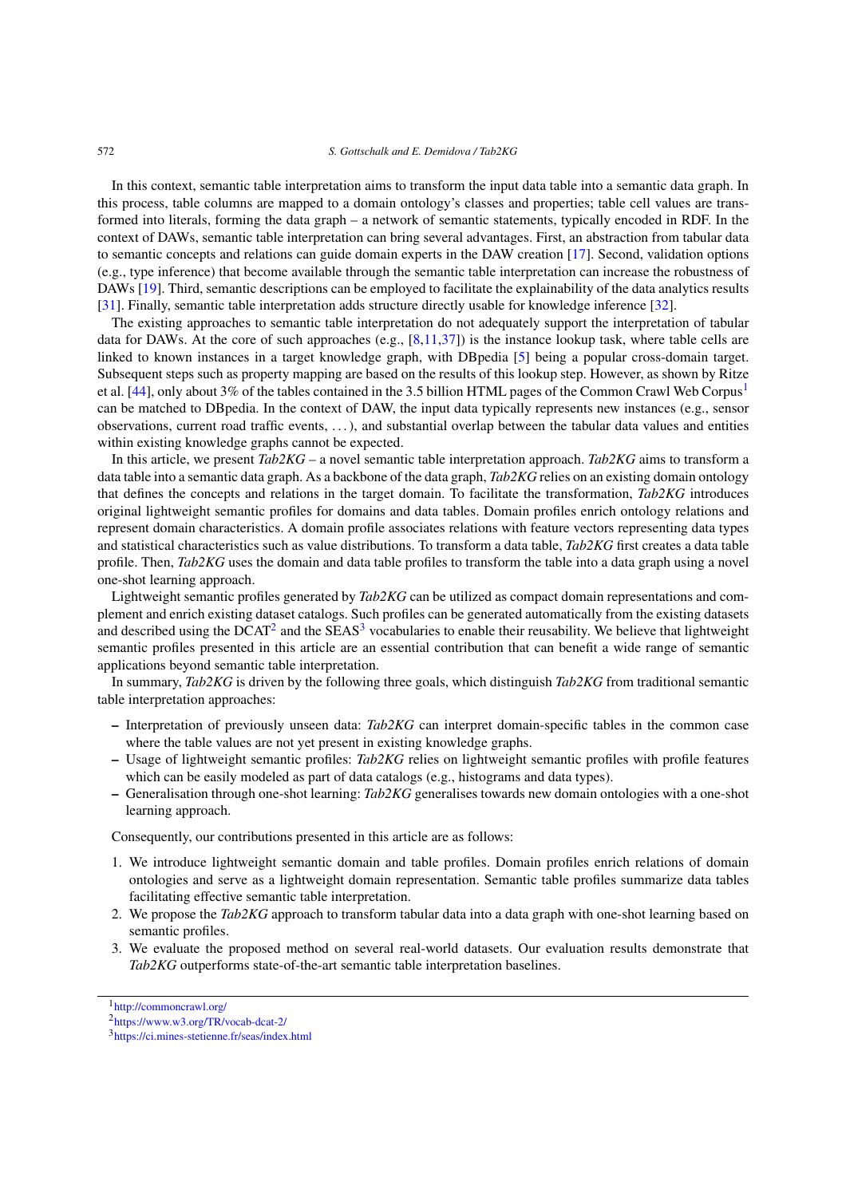In this context, semantic table interpretation aims to transform the input data table into a semantic data graph. In this process, table columns are mapped to a domain ontology's classes and properties; table cell values are transformed into literals, forming the data graph – a network of semantic statements, typically encoded in RDF. In the context of DAWs, semantic table interpretation can bring several advantages. First, an abstraction from tabular data to semantic concepts and relations can guide domain experts in the DAW creation [\[17](#page-25-0)]. Second, validation options (e.g., type inference) that become available through the semantic table interpretation can increase the robustness of DAWs [\[19](#page-25-2)]. Third, semantic descriptions can be employed to facilitate the explainability of the data analytics results [[31\]](#page-25-3). Finally, semantic table interpretation adds structure directly usable for knowledge inference [\[32](#page-25-4)].

The existing approaches to semantic table interpretation do not adequately support the interpretation of tabular data for DAWs. At the core of such approaches (e.g., [\[8,](#page-24-1)[11](#page-24-2),[37\]](#page-26-3)) is the instance lookup task, where table cells are linked to known instances in a target knowledge graph, with DBpedia [\[5](#page-24-3)] being a popular cross-domain target. Subsequent steps such as property mapping are based on the results of this lookup step. However, as shown by Ritze et al. [[44\]](#page-26-4), only about 3% of the tables contained in the 3.5 billion HTML pages of the Common Crawl Web Corpus<sup>[1](#page-1-0)</sup> can be matched to DBpedia. In the context of DAW, the input data typically represents new instances (e.g., sensor observations, current road traffic events, . . . ), and substantial overlap between the tabular data values and entities within existing knowledge graphs cannot be expected.

In this article, we present *Tab2KG* – a novel semantic table interpretation approach. *Tab2KG* aims to transform a data table into a semantic data graph. As a backbone of the data graph, *Tab2KG* relies on an existing domain ontology that defines the concepts and relations in the target domain. To facilitate the transformation, *Tab2KG* introduces original lightweight semantic profiles for domains and data tables. Domain profiles enrich ontology relations and represent domain characteristics. A domain profile associates relations with feature vectors representing data types and statistical characteristics such as value distributions. To transform a data table, *Tab2KG* first creates a data table profile. Then, *Tab2KG* uses the domain and data table profiles to transform the table into a data graph using a novel one-shot learning approach.

Lightweight semantic profiles generated by *Tab2KG* can be utilized as compact domain representations and complement and enrich existing dataset catalogs. Such profiles can be generated automatically from the existing datasets and described using the  $DCAT<sup>2</sup>$  and the  $SEAS<sup>3</sup>$  $SEAS<sup>3</sup>$  $SEAS<sup>3</sup>$  vocabularies to enable their reusability. We believe that lightweight semantic profiles presented in this article are an essential contribution that can benefit a wide range of semantic applications beyond semantic table interpretation.

In summary, *Tab2KG* is driven by the following three goals, which distinguish *Tab2KG* from traditional semantic table interpretation approaches:

- **–** Interpretation of previously unseen data: *Tab2KG* can interpret domain-specific tables in the common case where the table values are not yet present in existing knowledge graphs.
- **–** Usage of lightweight semantic profiles: *Tab2KG* relies on lightweight semantic profiles with profile features which can be easily modeled as part of data catalogs (e.g., histograms and data types).
- **–** Generalisation through one-shot learning: *Tab2KG* generalises towards new domain ontologies with a one-shot learning approach.

Consequently, our contributions presented in this article are as follows:

- 1. We introduce lightweight semantic domain and table profiles. Domain profiles enrich relations of domain ontologies and serve as a lightweight domain representation. Semantic table profiles summarize data tables facilitating effective semantic table interpretation.
- 2. We propose the *Tab2KG* approach to transform tabular data into a data graph with one-shot learning based on semantic profiles.
- 3. We evaluate the proposed method on several real-world datasets. Our evaluation results demonstrate that *Tab2KG* outperforms state-of-the-art semantic table interpretation baselines.

<span id="page-1-0"></span><sup>1</sup><http://commoncrawl.org/>

<span id="page-1-1"></span><sup>2</sup><https://www.w3.org/TR/vocab-dcat-2/>

<span id="page-1-2"></span><sup>3</sup><https://ci.mines-stetienne.fr/seas/index.html>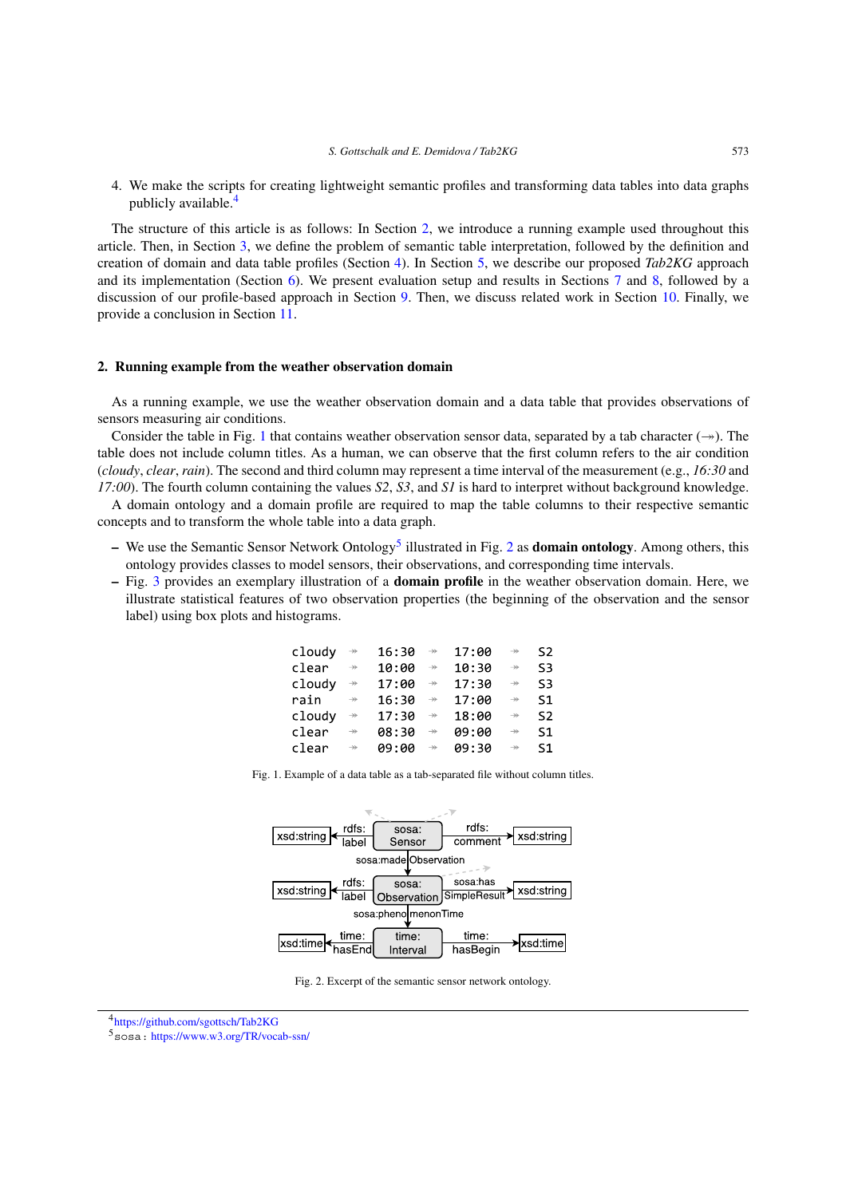4. We make the scripts for creating lightweight semantic profiles and transforming data tables into data graphs publicly available. $\frac{4}{3}$  $\frac{4}{3}$  $\frac{4}{3}$ 

The structure of this article is as follows: In Section [2,](#page-2-1) we introduce a running example used throughout this article. Then, in Section [3,](#page-3-0) we define the problem of semantic table interpretation, followed by the definition and creation of domain and data table profiles (Section [4](#page-4-0)). In Section [5,](#page-7-0) we describe our proposed *Tab2KG* approach and its implementation (Section [6\)](#page-11-0). We present evaluation setup and results in Sections [7](#page-12-0) and [8,](#page-16-0) followed by a discussion of our profile-based approach in Section [9.](#page-19-0) Then, we discuss related work in Section [10.](#page-21-0) Finally, we provide a conclusion in Section [11](#page-22-0).

# <span id="page-2-1"></span>**2. Running example from the weather observation domain**

As a running example, we use the weather observation domain and a data table that provides observations of sensors measuring air conditions.

Consider the table in Fig. [1](#page-2-2) that contains weather observation sensor data, separated by a tab character  $(\rightarrow)$ . The table does not include column titles. As a human, we can observe that the first column refers to the air condition (*cloudy*, *clear*, *rain*). The second and third column may represent a time interval of the measurement (e.g., *16:30* and *17:00*). The fourth column containing the values *S2*, *S3*, and *S1* is hard to interpret without background knowledge.

A domain ontology and a domain profile are required to map the table columns to their respective semantic concepts and to transform the whole table into a data graph.

- **–** We use the Semantic Sensor Network Ontology[5](#page-2-3) illustrated in Fig. [2](#page-2-4) as **domain ontology**. Among others, this ontology provides classes to model sensors, their observations, and corresponding time intervals.
- **–** Fig. [3](#page-3-1) provides an exemplary illustration of a **domain profile** in the weather observation domain. Here, we illustrate statistical features of two observation properties (the beginning of the observation and the sensor label) using box plots and histograms.

| cloudy | $\rightarrowtail$                  | 16:30 | $\rightarrow$ | 17:00 | $\rightarrow$     | S2 |
|--------|------------------------------------|-------|---------------|-------|-------------------|----|
| clear  | $\rightarrow$                      | 10:00 | $\rightarrow$ | 10:30 | $\rightarrow$     | S3 |
| cloudy | $\rightarrow$                      | 17:00 | $\rightarrow$ | 17:30 | $\rightarrow$     | S3 |
| rain   | $\rightarrow$                      | 16:30 | $\rightarrow$ | 17:00 | $\rightarrow$     | S1 |
| cloudy | $\rightarrow\!\!\!\!\!\rightarrow$ | 17:30 | $\rightarrow$ | 18:00 | $\rightarrow$     | S2 |
| clear  | $\rightarrow$                      | 08:30 | $\rightarrow$ | 09:00 | $\rightarrowtail$ | S1 |
| clear  | $\rightarrow$                      | 09:00 | $\rightarrow$ | 09:30 | $\rightarrow$     | S1 |

<span id="page-2-2"></span>Fig. 1. Example of a data table as a tab-separated file without column titles.



<span id="page-2-4"></span>Fig. 2. Excerpt of the semantic sensor network ontology.

<span id="page-2-0"></span><sup>4</sup><https://github.com/sgottsch/Tab2KG>

<span id="page-2-3"></span><sup>5</sup>sosa: <https://www.w3.org/TR/vocab-ssn/>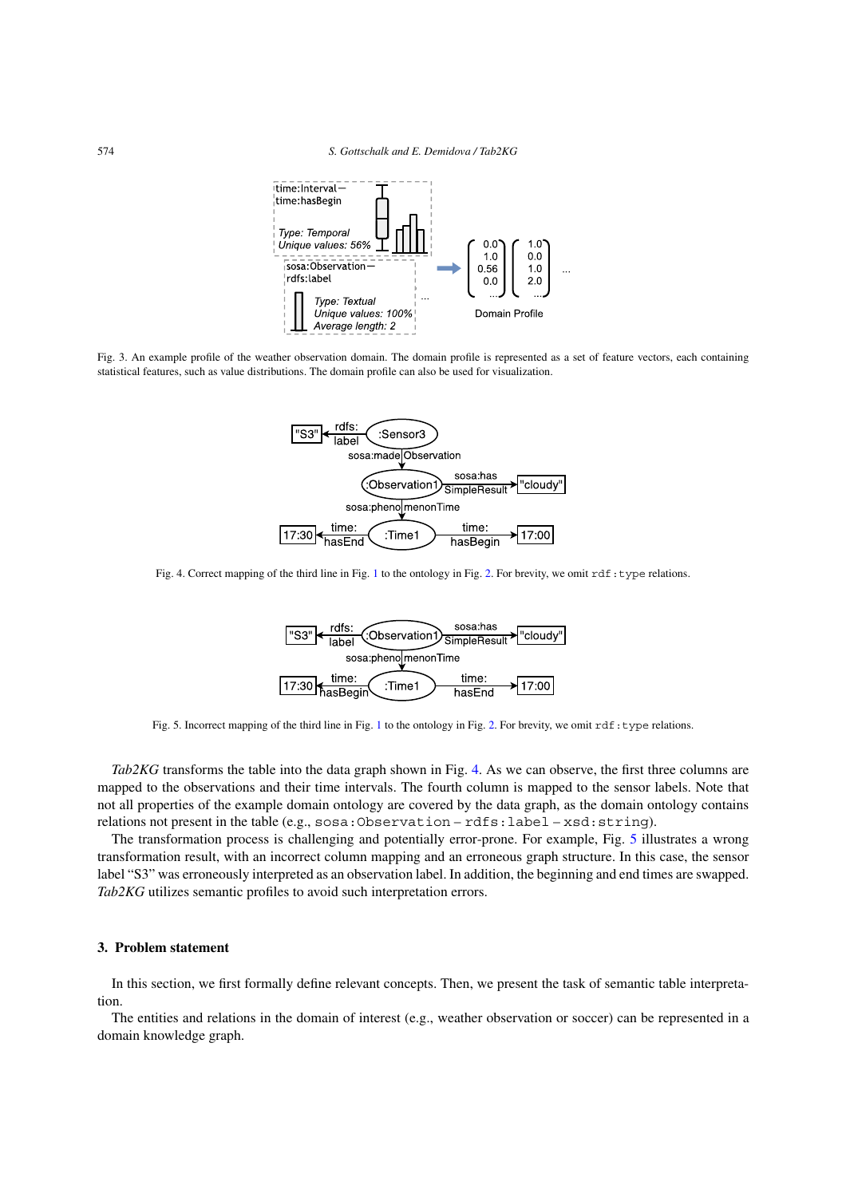

<span id="page-3-1"></span>Fig. 3. An example profile of the weather observation domain. The domain profile is represented as a set of feature vectors, each containing statistical features, such as value distributions. The domain profile can also be used for visualization.



<span id="page-3-2"></span>Fig. 4. Correct mapping of the third line in Fig. [1](#page-2-2) to the ontology in Fig. [2](#page-2-4). For brevity, we omit rdf:type relations.



<span id="page-3-3"></span>Fig. 5. Incorrect mapping of the third line in Fig. [1](#page-2-2) to the ontology in Fig. [2.](#page-2-4) For brevity, we omit rdf:type relations.

*Tab2KG* transforms the table into the data graph shown in Fig. [4.](#page-3-2) As we can observe, the first three columns are mapped to the observations and their time intervals. The fourth column is mapped to the sensor labels. Note that not all properties of the example domain ontology are covered by the data graph, as the domain ontology contains relations not present in the table (e.g., sosa:Observation – rdfs:label – xsd:string).

The transformation process is challenging and potentially error-prone. For example, Fig. [5](#page-3-3) illustrates a wrong transformation result, with an incorrect column mapping and an erroneous graph structure. In this case, the sensor label "S3" was erroneously interpreted as an observation label. In addition, the beginning and end times are swapped. *Tab2KG* utilizes semantic profiles to avoid such interpretation errors.

# <span id="page-3-0"></span>**3. Problem statement**

In this section, we first formally define relevant concepts. Then, we present the task of semantic table interpretation.

The entities and relations in the domain of interest (e.g., weather observation or soccer) can be represented in a domain knowledge graph.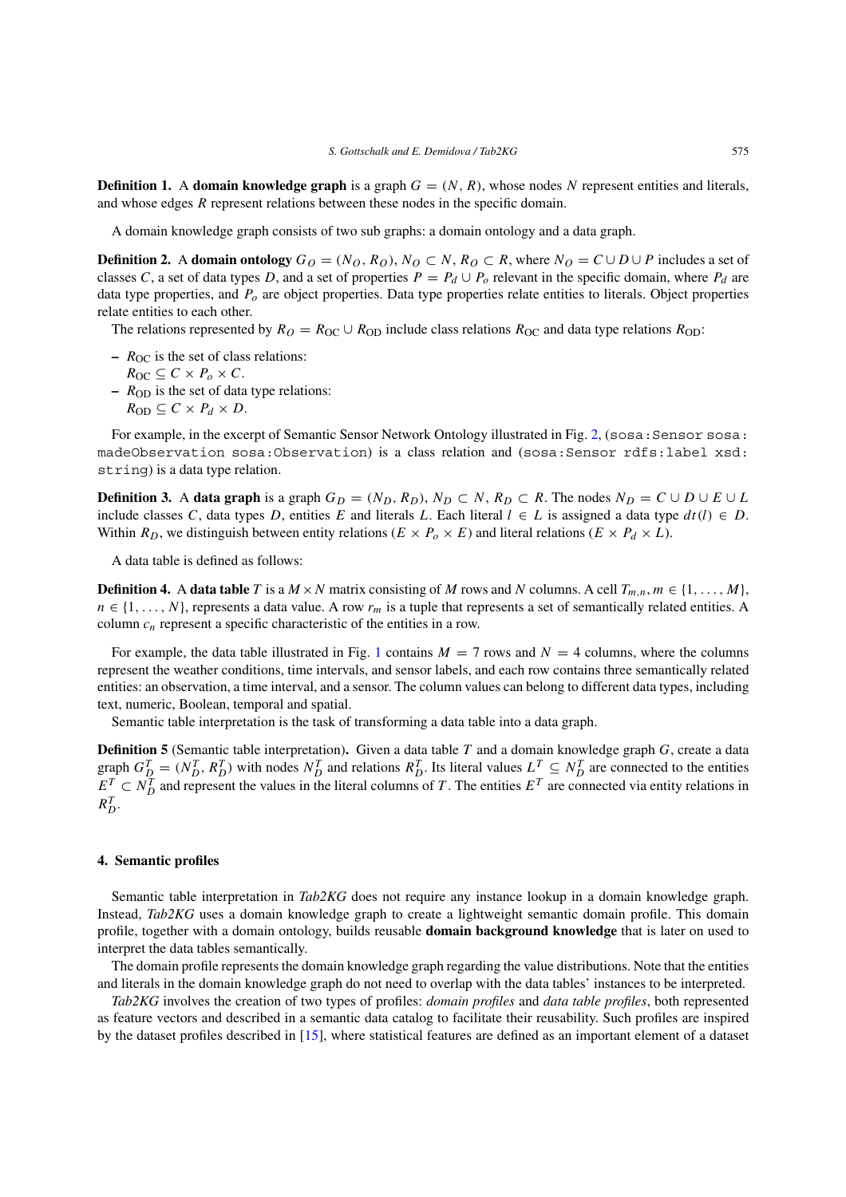**Definition 1.** A **domain knowledge graph** is a graph  $G = (N, R)$ , whose nodes N represent entities and literals, and whose edges *R* represent relations between these nodes in the specific domain.

A domain knowledge graph consists of two sub graphs: a domain ontology and a data graph.

**Definition 2.** A **domain ontology**  $G_O = (N_O, R_O), N_O \subset N, R_O \subset R$ , where  $N_O = C \cup D \cup P$  includes a set of classes *C*, a set of data types *D*, and a set of properties  $P = P_d \cup P_o$  relevant in the specific domain, where  $P_d$  are data type properties, and *Po* are object properties. Data type properties relate entities to literals. Object properties relate entities to each other.

The relations represented by  $R_O = R_{\text{OC}} \cup R_{\text{OD}}$  include class relations  $R_{\text{OC}}$  and data type relations  $R_{\text{OD}}$ :

- $R_{\text{OC}}$  is the set of class relations:
	- $R_{OC} \subseteq C \times P_o \times C$ .
- **–** *R*OD is the set of data type relations:
	- $R_{OD} \subseteq C \times P_d \times D$ .

For example, in the excerpt of Semantic Sensor Network Ontology illustrated in Fig. [2,](#page-2-4) (sosa: Sensor sosa: madeObservation sosa:Observation) is a class relation and (sosa:Sensor rdfs:label xsd: string) is a data type relation.

**Definition 3.** A **data graph** is a graph  $G_D = (N_D, R_D), N_D \subset N, R_D \subset R$ . The nodes  $N_D = C \cup D \cup E \cup L$ include classes *C*, data types *D*, entities *E* and literals *L*. Each literal *l* ∈ *L* is assigned a data type *dt (l)* ∈ *D*. Within  $R_D$ , we distinguish between entity relations ( $E \times P_o \times E$ ) and literal relations ( $E \times P_d \times L$ ).

A data table is defined as follows:

<span id="page-4-1"></span>**Definition 4.** A **data table** *T* is a  $M \times N$  matrix consisting of *M* rows and *N* columns. A cell  $T_{m,n}$ ,  $m \in \{1, \ldots, M\}$ , *n* ∈ {1, ..., *N*}, represents a data value. A row *r<sub>m</sub>* is a tuple that represents a set of semantically related entities. A column *cn* represent a specific characteristic of the entities in a row.

For example, the data table illustrated in Fig. [1](#page-2-2) contains  $M = 7$  rows and  $N = 4$  columns, where the columns represent the weather conditions, time intervals, and sensor labels, and each row contains three semantically related entities: an observation, a time interval, and a sensor. The column values can belong to different data types, including text, numeric, Boolean, temporal and spatial.

Semantic table interpretation is the task of transforming a data table into a data graph.

<span id="page-4-2"></span>**Definition 5** (Semantic table interpretation)**.** Given a data table *T* and a domain knowledge graph *G*, create a data graph  $G_{D}^{T} = (N_{D}^{T}, R_{D}^{T})$  with nodes  $N_{D}^{T}$  and relations  $R_{D}^{T}$ . Its literal values  $L^{T} \subseteq N_{D}^{T}$  are connected to the entities  $E^T$   $\subset N_D^T$  and represent the values in the literal columns of *T*. The entities  $E^T$  are connected via entity relations in  $R_D^T$ .

#### <span id="page-4-0"></span>**4. Semantic profiles**

Semantic table interpretation in *Tab2KG* does not require any instance lookup in a domain knowledge graph. Instead, *Tab2KG* uses a domain knowledge graph to create a lightweight semantic domain profile. This domain profile, together with a domain ontology, builds reusable **domain background knowledge** that is later on used to interpret the data tables semantically.

The domain profile represents the domain knowledge graph regarding the value distributions. Note that the entities and literals in the domain knowledge graph do not need to overlap with the data tables' instances to be interpreted.

*Tab2KG* involves the creation of two types of profiles: *domain profiles* and *data table profiles*, both represented as feature vectors and described in a semantic data catalog to facilitate their reusability. Such profiles are inspired by the dataset profiles described in [\[15](#page-25-5)], where statistical features are defined as an important element of a dataset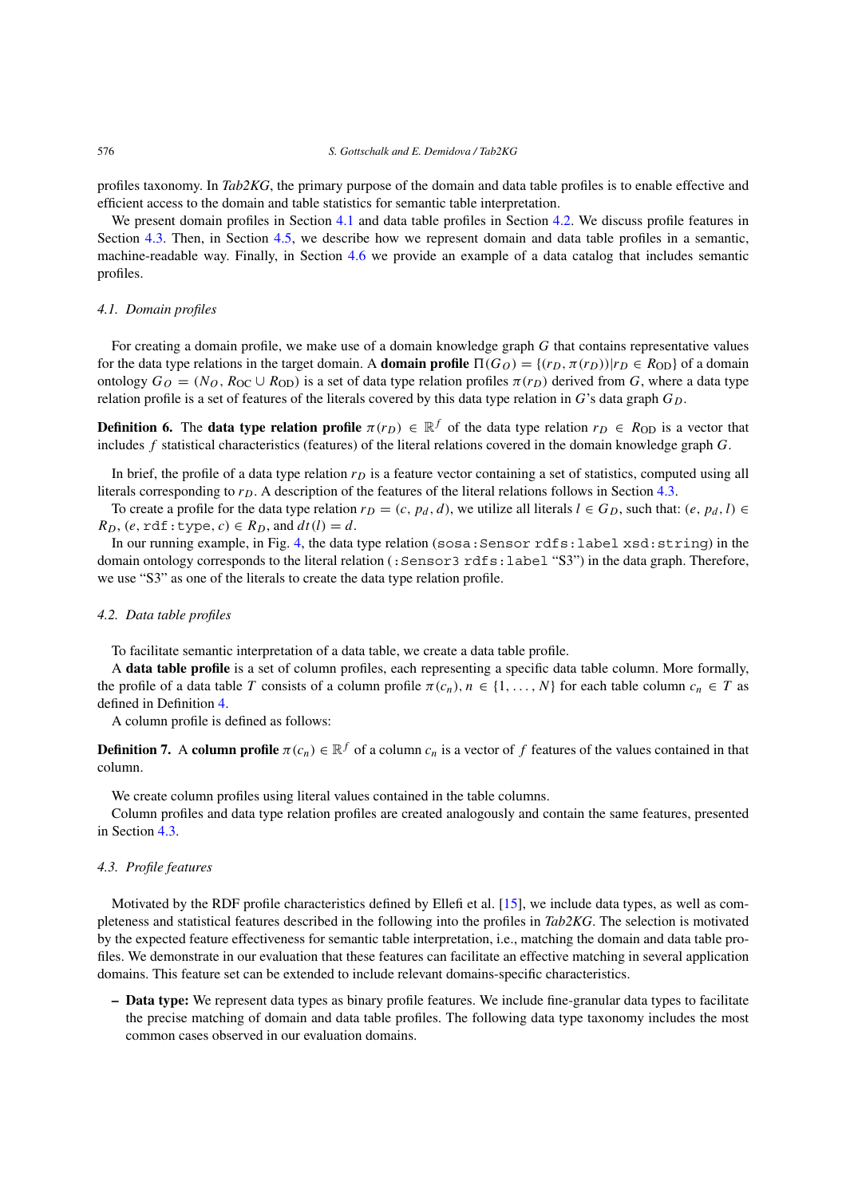profiles taxonomy. In *Tab2KG*, the primary purpose of the domain and data table profiles is to enable effective and efficient access to the domain and table statistics for semantic table interpretation.

We present domain profiles in Section [4.1](#page-5-0) and data table profiles in Section [4.2](#page-5-1). We discuss profile features in Section [4.3.](#page-5-2) Then, in Section [4.5](#page-6-0), we describe how we represent domain and data table profiles in a semantic, machine-readable way. Finally, in Section [4.6](#page-7-1) we provide an example of a data catalog that includes semantic profiles.

# <span id="page-5-0"></span>*4.1. Domain profiles*

For creating a domain profile, we make use of a domain knowledge graph *G* that contains representative values for the data type relations in the target domain. A **domain profile**  $\Pi(G_O) = \{(r_D, \pi(r_D)) | r_D \in R_{OD}\}$  of a domain ontology  $G_O = (N_O, R_{OC} \cup R_{OD})$  is a set of data type relation profiles  $\pi(r_D)$  derived from *G*, where a data type relation profile is a set of features of the literals covered by this data type relation in  $G$ 's data graph  $G_D$ .

**Definition 6.** The **data type relation profile**  $\pi(r_D) \in \mathbb{R}^f$  of the data type relation  $r_D \in R_{OD}$  is a vector that includes *f* statistical characteristics (features) of the literal relations covered in the domain knowledge graph *G*.

In brief, the profile of a data type relation  $r<sub>D</sub>$  is a feature vector containing a set of statistics, computed using all literals corresponding to  $r<sub>D</sub>$ . A description of the features of the literal relations follows in Section [4.3.](#page-5-2)

To create a profile for the data type relation  $r_D = (c, p_d, d)$ , we utilize all literals  $l \in G_D$ , such that:  $(e, p_d, l) \in$  $R_D$ ,  $(e, \text{rdf:type}, c) \in R_D$ , and  $dt(l) = d$ .

In our running example, in Fig. [4,](#page-3-2) the data type relation (sosa:Sensor rdfs:label xsd:string) in the domain ontology corresponds to the literal relation (: Sensor3 rdfs: label "S3") in the data graph. Therefore, we use "S3" as one of the literals to create the data type relation profile.

# <span id="page-5-1"></span>*4.2. Data table profiles*

To facilitate semantic interpretation of a data table, we create a data table profile.

A **data table profile** is a set of column profiles, each representing a specific data table column. More formally, the profile of a data table *T* consists of a column profile  $\pi(c_n)$ ,  $n \in \{1, ..., N\}$  for each table column  $c_n \in T$  as defined in Definition [4](#page-4-1).

A column profile is defined as follows:

**Definition 7.** A **column profile**  $\pi(c_n) \in \mathbb{R}^f$  of a column  $c_n$  is a vector of f features of the values contained in that column.

We create column profiles using literal values contained in the table columns.

Column profiles and data type relation profiles are created analogously and contain the same features, presented in Section [4.3.](#page-5-2)

## <span id="page-5-2"></span>*4.3. Profile features*

Motivated by the RDF profile characteristics defined by Ellefi et al. [\[15](#page-25-5)], we include data types, as well as completeness and statistical features described in the following into the profiles in *Tab2KG*. The selection is motivated by the expected feature effectiveness for semantic table interpretation, i.e., matching the domain and data table profiles. We demonstrate in our evaluation that these features can facilitate an effective matching in several application domains. This feature set can be extended to include relevant domains-specific characteristics.

**– Data type:** We represent data types as binary profile features. We include fine-granular data types to facilitate the precise matching of domain and data table profiles. The following data type taxonomy includes the most common cases observed in our evaluation domains.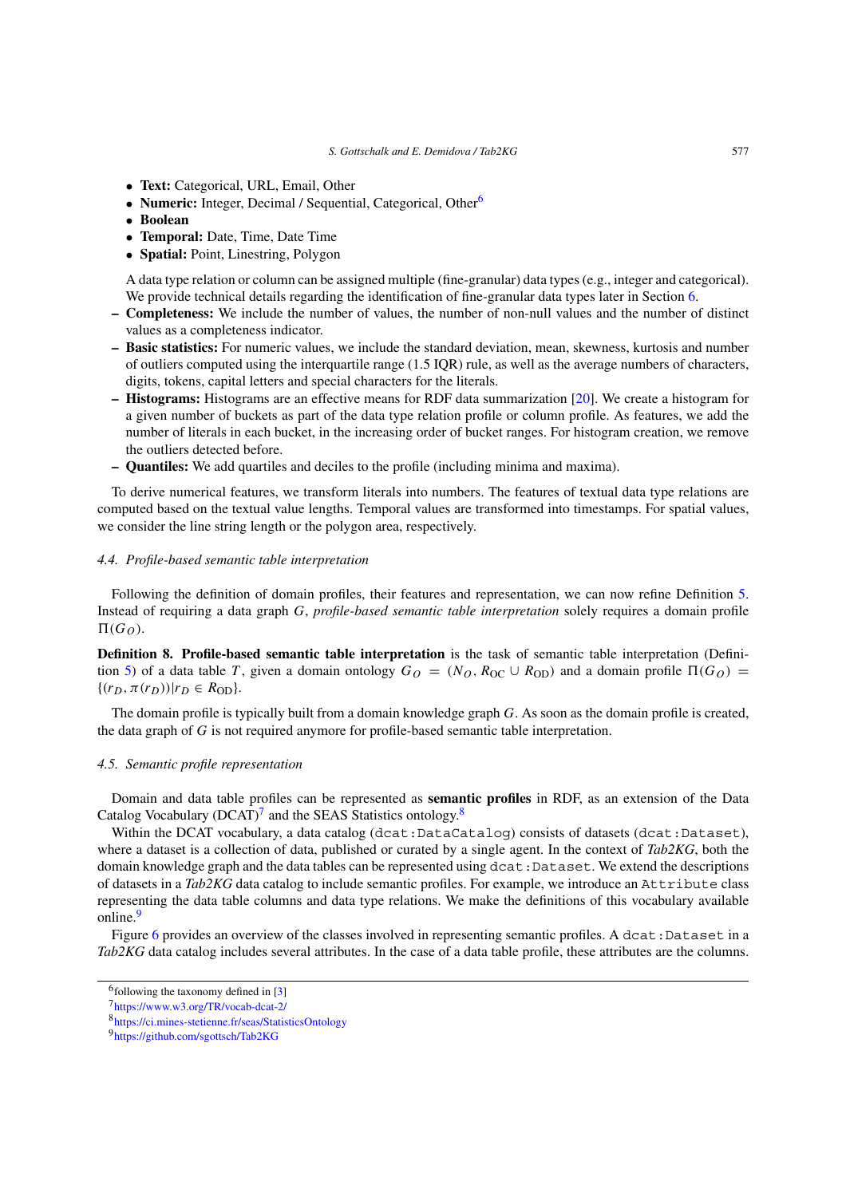- **Text:** Categorical, URL, Email, Other
- **Numeric:** Integer, Decimal / Sequential, Categorical, Other<sup>6</sup>
- **Boolean**
- **Temporal:** Date, Time, Date Time
- **Spatial:** Point, Linestring, Polygon

A data type relation or column can be assigned multiple (fine-granular) data types (e.g., integer and categorical). We provide technical details regarding the identification of fine-granular data types later in Section [6](#page-11-0).

- **Completeness:** We include the number of values, the number of non-null values and the number of distinct values as a completeness indicator.
- **Basic statistics:** For numeric values, we include the standard deviation, mean, skewness, kurtosis and number of outliers computed using the interquartile range (1.5 IQR) rule, as well as the average numbers of characters, digits, tokens, capital letters and special characters for the literals.
- **Histograms:** Histograms are an effective means for RDF data summarization [[20\]](#page-25-6). We create a histogram for a given number of buckets as part of the data type relation profile or column profile. As features, we add the number of literals in each bucket, in the increasing order of bucket ranges. For histogram creation, we remove the outliers detected before.
- **Quantiles:** We add quartiles and deciles to the profile (including minima and maxima).

To derive numerical features, we transform literals into numbers. The features of textual data type relations are computed based on the textual value lengths. Temporal values are transformed into timestamps. For spatial values, we consider the line string length or the polygon area, respectively.

# *4.4. Profile-based semantic table interpretation*

Following the definition of domain profiles, their features and representation, we can now refine Definition [5](#page-4-2). Instead of requiring a data graph *G*, *profile-based semantic table interpretation* solely requires a domain profile  $\Pi(G_O)$ .

**Definition 8. Profile-based semantic table interpretation** is the task of semantic table interpretation (Defini-tion [5\)](#page-4-2) of a data table *T*, given a domain ontology  $G_O = (N_O, R_{OC} \cup R_{OD})$  and a domain profile  $\Pi(G_O)$  =  $\{(r_D, \pi(r_D)) | r_D \in R_{OD}\}.$ 

The domain profile is typically built from a domain knowledge graph *G*. As soon as the domain profile is created, the data graph of *G* is not required anymore for profile-based semantic table interpretation.

#### <span id="page-6-0"></span>*4.5. Semantic profile representation*

Domain and data table profiles can be represented as **semantic profiles** in RDF, as an extension of the Data Catalog Vocabulary  $(DCAT)^7$  and the SEAS Statistics ontology.<sup>8</sup>

Within the DCAT vocabulary, a data catalog (dcat: DataCatalog) consists of datasets (dcat: Dataset), where a dataset is a collection of data, published or curated by a single agent. In the context of *Tab2KG*, both the domain knowledge graph and the data tables can be represented using dcat: Dataset. We extend the descriptions of datasets in a *Tab2KG* data catalog to include semantic profiles. For example, we introduce an Attribute class representing the data table columns and data type relations. We make the definitions of this vocabulary available online.<sup>[9](#page-6-4)</sup>

Figure [6](#page-7-2) provides an overview of the classes involved in representing semantic profiles. A dcat:Dataset in a *Tab2KG* data catalog includes several attributes. In the case of a data table profile, these attributes are the columns.

<span id="page-6-1"></span> $6$ following the taxonomy defined in  $[3]$  $[3]$ 

<span id="page-6-2"></span><sup>7</sup><https://www.w3.org/TR/vocab-dcat-2/>

<span id="page-6-3"></span><sup>8</sup><https://ci.mines-stetienne.fr/seas/StatisticsOntology>

<span id="page-6-4"></span><sup>9</sup><https://github.com/sgottsch/Tab2KG>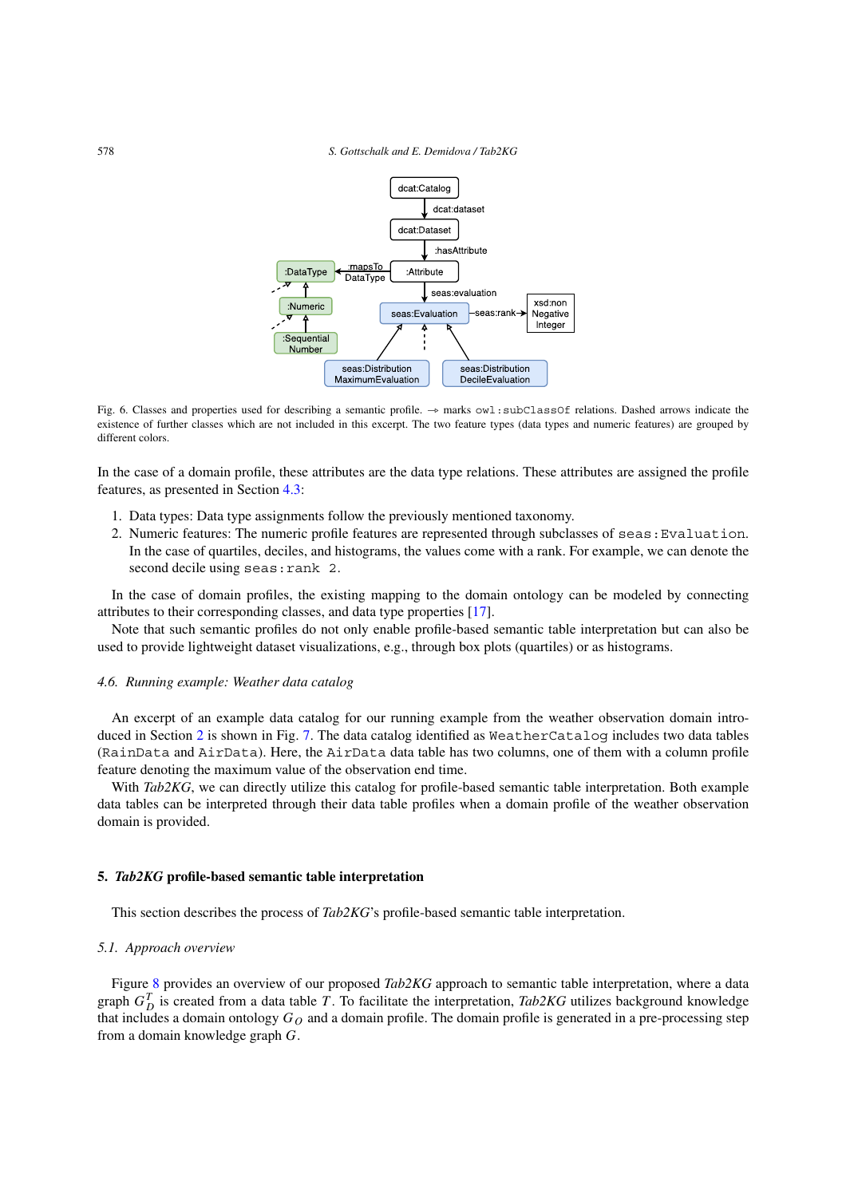

<span id="page-7-2"></span>Fig. 6. Classes and properties used for describing a semantic profile. → marks owl:subClassOf relations. Dashed arrows indicate the existence of further classes which are not included in this excerpt. The two feature types (data types and numeric features) are grouped by different colors.

In the case of a domain profile, these attributes are the data type relations. These attributes are assigned the profile features, as presented in Section [4.3:](#page-5-2)

- 1. Data types: Data type assignments follow the previously mentioned taxonomy.
- 2. Numeric features: The numeric profile features are represented through subclasses of seas: Evaluation. In the case of quartiles, deciles, and histograms, the values come with a rank. For example, we can denote the second decile using seas: rank 2.

In the case of domain profiles, the existing mapping to the domain ontology can be modeled by connecting attributes to their corresponding classes, and data type properties [\[17](#page-25-0)].

Note that such semantic profiles do not only enable profile-based semantic table interpretation but can also be used to provide lightweight dataset visualizations, e.g., through box plots (quartiles) or as histograms.

#### <span id="page-7-1"></span>*4.6. Running example: Weather data catalog*

An excerpt of an example data catalog for our running example from the weather observation domain introduced in Section [2](#page-2-1) is shown in Fig. [7](#page-8-0). The data catalog identified as WeatherCatalog includes two data tables (RainData and AirData). Here, the AirData data table has two columns, one of them with a column profile feature denoting the maximum value of the observation end time.

With *Tab2KG*, we can directly utilize this catalog for profile-based semantic table interpretation. Both example data tables can be interpreted through their data table profiles when a domain profile of the weather observation domain is provided.

# <span id="page-7-0"></span>**5.** *Tab2KG* **profile-based semantic table interpretation**

This section describes the process of *Tab2KG*'s profile-based semantic table interpretation.

#### *5.1. Approach overview*

Figure [8](#page-8-1) provides an overview of our proposed *Tab2KG* approach to semantic table interpretation, where a data graph  $G_D^T$  is created from a data table *T*. To facilitate the interpretation, *Tab2KG* utilizes background knowledge that includes a domain ontology  $G<sub>O</sub>$  and a domain profile. The domain profile is generated in a pre-processing step from a domain knowledge graph *G*.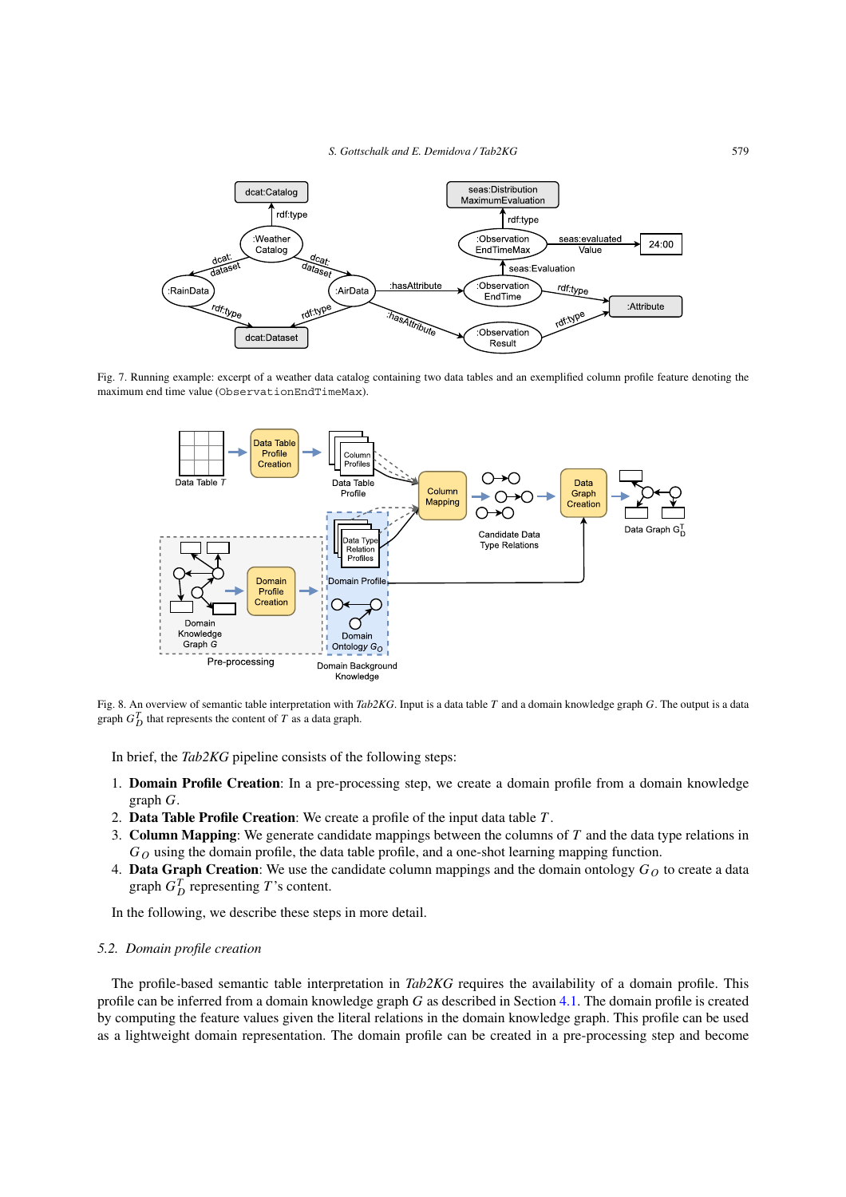

Fig. 7. Running example: excerpt of a weather data catalog containing two data tables and an exemplified column profile feature denoting the maximum end time value (ObservationEndTimeMax).

<span id="page-8-0"></span>

<span id="page-8-1"></span>Fig. 8. An overview of semantic table interpretation with *Tab2KG*. Input is a data table *T* and a domain knowledge graph *G*. The output is a data graph  $G_D^T$  that represents the content of  $T$  as a data graph.

In brief, the *Tab2KG* pipeline consists of the following steps:

- 1. **Domain Profile Creation**: In a pre-processing step, we create a domain profile from a domain knowledge graph *G*.
- 2. **Data Table Profile Creation**: We create a profile of the input data table *T* .
- 3. **Column Mapping**: We generate candidate mappings between the columns of *T* and the data type relations in  $G<sub>O</sub>$  using the domain profile, the data table profile, and a one-shot learning mapping function.
- 4. **Data Graph Creation**: We use the candidate column mappings and the domain ontology  $G<sub>O</sub>$  to create a data graph  $G_D^T$  representing *T* 's content.

In the following, we describe these steps in more detail.

# *5.2. Domain profile creation*

The profile-based semantic table interpretation in *Tab2KG* requires the availability of a domain profile. This profile can be inferred from a domain knowledge graph *G* as described in Section [4.1.](#page-5-0) The domain profile is created by computing the feature values given the literal relations in the domain knowledge graph. This profile can be used as a lightweight domain representation. The domain profile can be created in a pre-processing step and become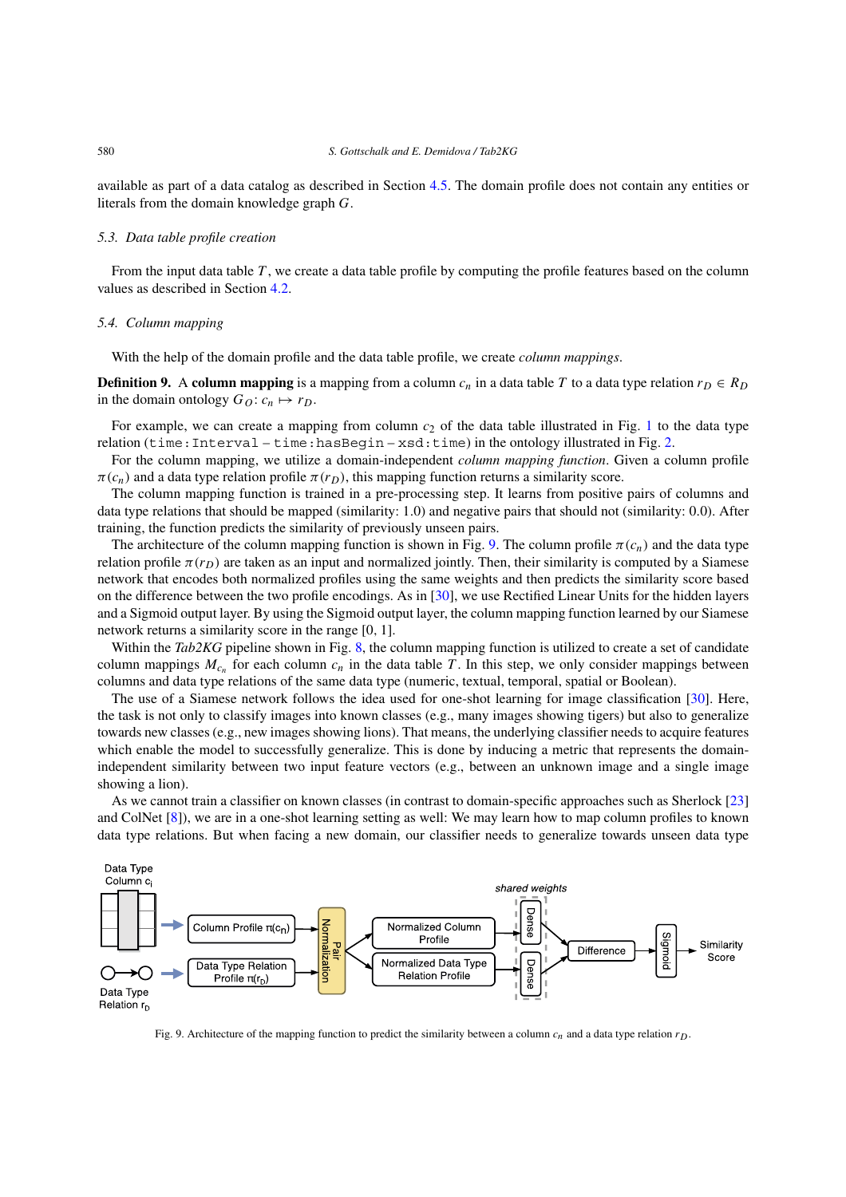available as part of a data catalog as described in Section [4.5.](#page-6-0) The domain profile does not contain any entities or literals from the domain knowledge graph *G*.

#### *5.3. Data table profile creation*

From the input data table *T* , we create a data table profile by computing the profile features based on the column values as described in Section [4.2.](#page-5-1)

# *5.4. Column mapping*

With the help of the domain profile and the data table profile, we create *column mappings*.

**Definition 9.** A **column mapping** is a mapping from a column  $c_n$  in a data table *T* to a data type relation  $r_D \in R_D$ in the domain ontology  $G_O: c_n \mapsto r_D$ .

For example, we can create a mapping from column  $c_2$  of the data table illustrated in Fig. [1](#page-2-2) to the data type relation (time:Interval – time:hasBegin –  $xsd$ :time) in the ontology illustrated in Fig. [2](#page-2-4).

For the column mapping, we utilize a domain-independent *column mapping function*. Given a column profile  $\pi(c_n)$  and a data type relation profile  $\pi(r_D)$ , this mapping function returns a similarity score.

The column mapping function is trained in a pre-processing step. It learns from positive pairs of columns and data type relations that should be mapped (similarity: 1*.*0) and negative pairs that should not (similarity: 0*.*0). After training, the function predicts the similarity of previously unseen pairs.

The architecture of the column mapping function is shown in Fig. [9.](#page-9-0) The column profile  $\pi(c_n)$  and the data type relation profile  $\pi(r_D)$  are taken as an input and normalized jointly. Then, their similarity is computed by a Siamese network that encodes both normalized profiles using the same weights and then predicts the similarity score based on the difference between the two profile encodings. As in [\[30](#page-25-7)], we use Rectified Linear Units for the hidden layers and a Sigmoid output layer. By using the Sigmoid output layer, the column mapping function learned by our Siamese network returns a similarity score in the range [0*,* 1].

Within the *Tab2KG* pipeline shown in Fig. [8,](#page-8-1) the column mapping function is utilized to create a set of candidate column mappings  $M_{c_n}$  for each column  $c_n$  in the data table T. In this step, we only consider mappings between columns and data type relations of the same data type (numeric, textual, temporal, spatial or Boolean).

The use of a Siamese network follows the idea used for one-shot learning for image classification [[30\]](#page-25-7). Here, the task is not only to classify images into known classes (e.g., many images showing tigers) but also to generalize towards new classes (e.g., new images showing lions). That means, the underlying classifier needs to acquire features which enable the model to successfully generalize. This is done by inducing a metric that represents the domainindependent similarity between two input feature vectors (e.g., between an unknown image and a single image showing a lion).

As we cannot train a classifier on known classes (in contrast to domain-specific approaches such as Sherlock [\[23](#page-25-8)] and ColNet [\[8](#page-24-1)]), we are in a one-shot learning setting as well: We may learn how to map column profiles to known data type relations. But when facing a new domain, our classifier needs to generalize towards unseen data type



<span id="page-9-0"></span>Fig. 9. Architecture of the mapping function to predict the similarity between a column  $c_n$  and a data type relation  $r_D$ .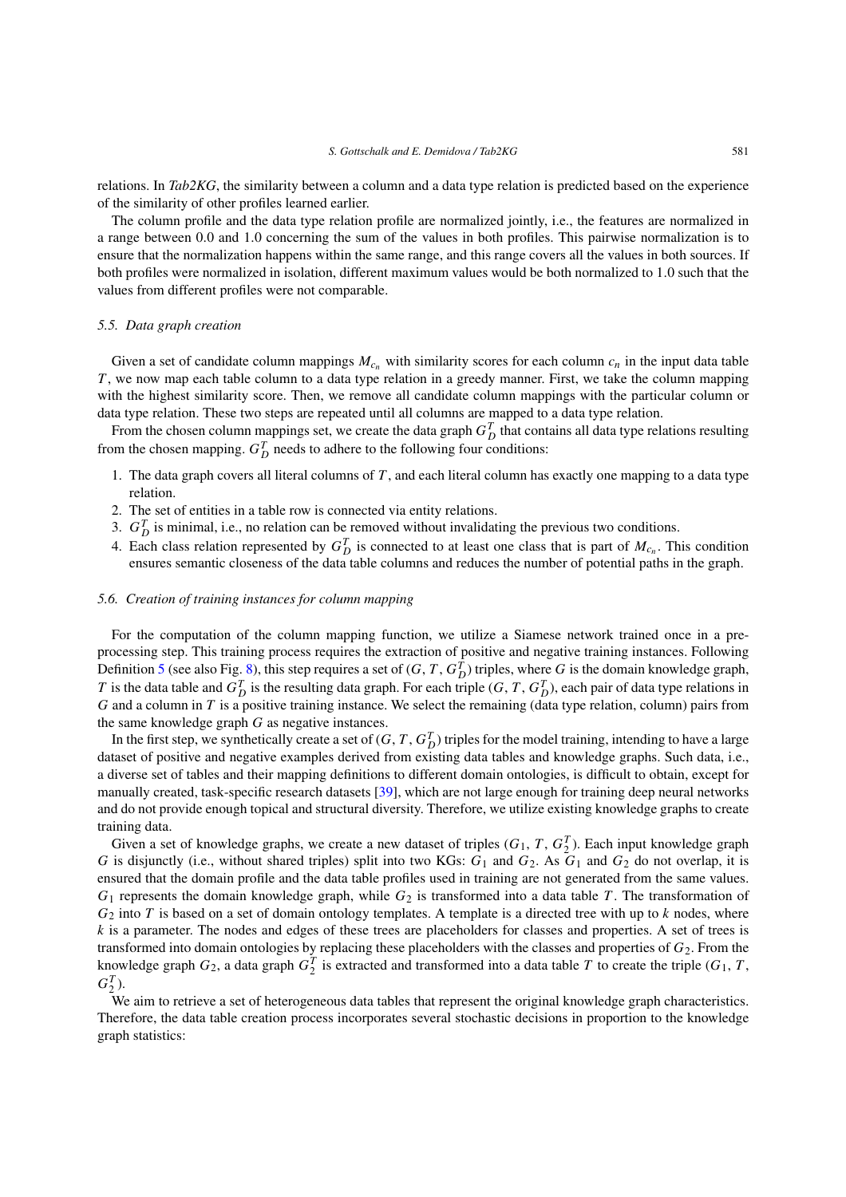relations. In *Tab2KG*, the similarity between a column and a data type relation is predicted based on the experience of the similarity of other profiles learned earlier.

The column profile and the data type relation profile are normalized jointly, i.e., the features are normalized in a range between 0*.*0 and 1*.*0 concerning the sum of the values in both profiles. This pairwise normalization is to ensure that the normalization happens within the same range, and this range covers all the values in both sources. If both profiles were normalized in isolation, different maximum values would be both normalized to 1*.*0 such that the values from different profiles were not comparable.

#### <span id="page-10-0"></span>*5.5. Data graph creation*

Given a set of candidate column mappings  $M_{c_n}$  with similarity scores for each column  $c_n$  in the input data table *T*, we now map each table column to a data type relation in a greedy manner. First, we take the column mapping with the highest similarity score. Then, we remove all candidate column mappings with the particular column or data type relation. These two steps are repeated until all columns are mapped to a data type relation.

From the chosen column mappings set, we create the data graph  $G_D^T$  that contains all data type relations resulting from the chosen mapping.  $G_D^T$  needs to adhere to the following four conditions:

- 1. The data graph covers all literal columns of *T* , and each literal column has exactly one mapping to a data type relation.
- 2. The set of entities in a table row is connected via entity relations.
- 3.  $G_D^T$  is minimal, i.e., no relation can be removed without invalidating the previous two conditions.
- 4. Each class relation represented by  $G_D^T$  is connected to at least one class that is part of  $M_{c_n}$ . This condition ensures semantic closeness of the data table columns and reduces the number of potential paths in the graph.

# *5.6. Creation of training instances for column mapping*

For the computation of the column mapping function, we utilize a Siamese network trained once in a preprocessing step. This training process requires the extraction of positive and negative training instances. Following Definition [5](#page-4-2) (see also Fig. [8\)](#page-8-1), this step requires a set of  $(G, T, G_D^T)$  triples, where *G* is the domain knowledge graph, *T* is the data table and  $G_D^T$  is the resulting data graph. For each triple  $(G, T, G_D^T)$ , each pair of data type relations in *G* and a column in *T* is a positive training instance. We select the remaining (data type relation, column) pairs from the same knowledge graph *G* as negative instances.

In the first step, we synthetically create a set of  $(G, T, G_D^T)$  triples for the model training, intending to have a large dataset of positive and negative examples derived from existing data tables and knowledge graphs. Such data, i.e., a diverse set of tables and their mapping definitions to different domain ontologies, is difficult to obtain, except for manually created, task-specific research datasets [\[39](#page-26-5)], which are not large enough for training deep neural networks and do not provide enough topical and structural diversity. Therefore, we utilize existing knowledge graphs to create training data.

Given a set of knowledge graphs, we create a new dataset of triples  $(G_1, T, G_2^T)$ . Each input knowledge graph *G* is disjunctly (i.e., without shared triples) split into two KGs: *G*<sup>1</sup> and *G*2. As *G*<sup>1</sup> and *G*<sup>2</sup> do not overlap, it is ensured that the domain profile and the data table profiles used in training are not generated from the same values. *G*<sup>1</sup> represents the domain knowledge graph, while *G*<sup>2</sup> is transformed into a data table *T* . The transformation of *G*<sup>2</sup> into *T* is based on a set of domain ontology templates. A template is a directed tree with up to *k* nodes, where *k* is a parameter. The nodes and edges of these trees are placeholders for classes and properties. A set of trees is transformed into domain ontologies by replacing these placeholders with the classes and properties of *G*2. From the knowledge graph  $G_2$ , a data graph  $G_2^T$  is extracted and transformed into a data table *T* to create the triple ( $G_1$ , *T*,  $G_2^T$ ).

We aim to retrieve a set of heterogeneous data tables that represent the original knowledge graph characteristics. Therefore, the data table creation process incorporates several stochastic decisions in proportion to the knowledge graph statistics: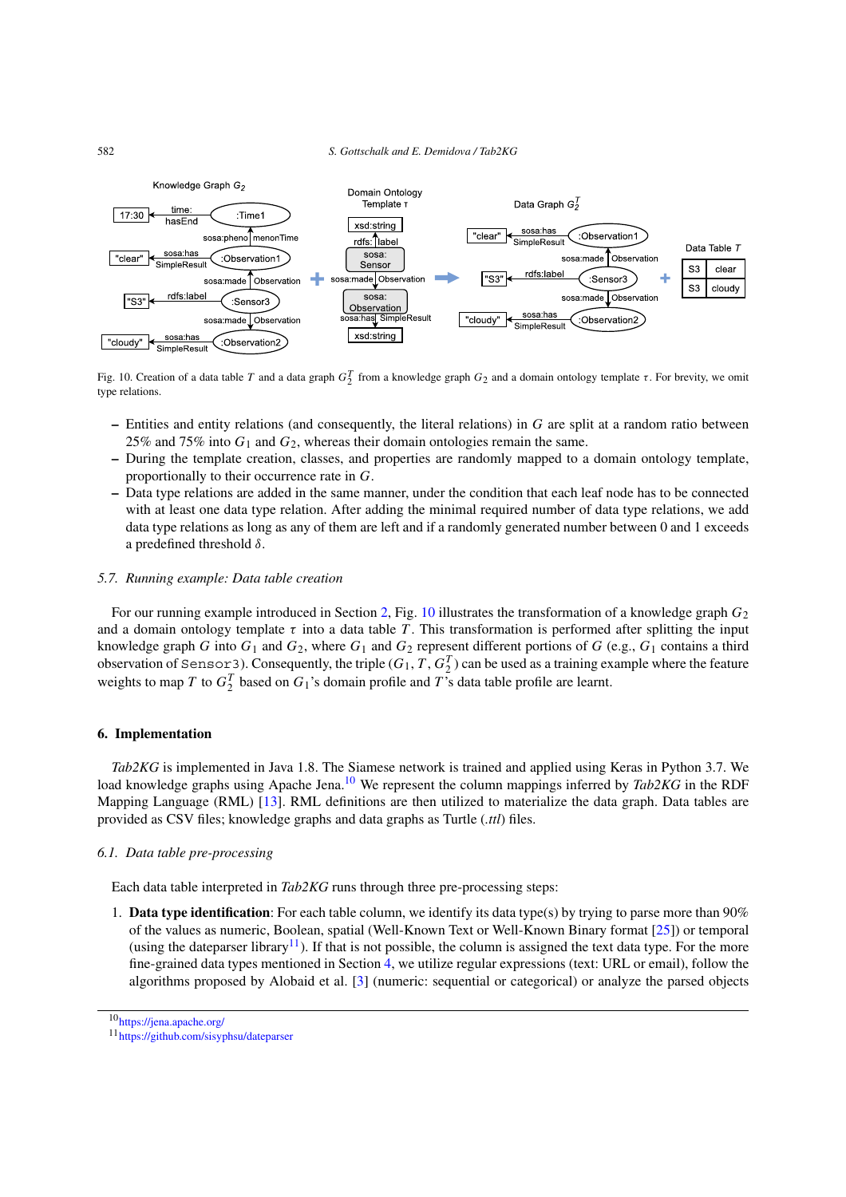

<span id="page-11-1"></span>Fig. 10. Creation of a data table *T* and a data graph  $G_2^T$  from a knowledge graph  $G_2$  and a domain ontology template *τ*. For brevity, we omit type relations.

- **–** Entities and entity relations (and consequently, the literal relations) in *G* are split at a random ratio between 25% and 75% into *G*<sup>1</sup> and *G*2, whereas their domain ontologies remain the same.
- **–** During the template creation, classes, and properties are randomly mapped to a domain ontology template, proportionally to their occurrence rate in *G*.
- **–** Data type relations are added in the same manner, under the condition that each leaf node has to be connected with at least one data type relation. After adding the minimal required number of data type relations, we add data type relations as long as any of them are left and if a randomly generated number between 0 and 1 exceeds a predefined threshold *δ*.

# *5.7. Running example: Data table creation*

For our running example introduced in Section [2,](#page-2-1) Fig. [10](#page-11-1) illustrates the transformation of a knowledge graph *G*<sup>2</sup> and a domain ontology template  $\tau$  into a data table  $T$ . This transformation is performed after splitting the input knowledge graph *G* into  $G_1$  and  $G_2$ , where  $G_1$  and  $G_2$  represent different portions of *G* (e.g.,  $G_1$  contains a third observation of Sensor3). Consequently, the triple  $(G_1, T, G_2^T)$  can be used as a training example where the feature weights to map *T* to  $G_2^T$  based on  $G_1$ 's domain profile and *T*'s data table profile are learnt.

# <span id="page-11-0"></span>**6. Implementation**

*Tab2KG* is implemented in Java 1.8. The Siamese network is trained and applied using Keras in Python 3.7. We load knowledge graphs using Apache Jena.<sup>10</sup> We represent the column mappings inferred by *Tab2KG* in the RDF Mapping Language (RML) [\[13](#page-25-9)]. RML definitions are then utilized to materialize the data graph. Data tables are provided as CSV files; knowledge graphs and data graphs as Turtle (*.ttl*) files.

# *6.1. Data table pre-processing*

Each data table interpreted in *Tab2KG* runs through three pre-processing steps:

1. **Data type identification**: For each table column, we identify its data type(s) by trying to parse more than 90% of the values as numeric, Boolean, spatial (Well-Known Text or Well-Known Binary format [\[25\]](#page-25-10)) or temporal (using the dateparser library<sup>[11](#page-11-3)</sup>). If that is not possible, the column is assigned the text data type. For the more fine-grained data types mentioned in Section [4](#page-4-0), we utilize regular expressions (text: URL or email), follow the algorithms proposed by Alobaid et al. [\[3\]](#page-24-4) (numeric: sequential or categorical) or analyze the parsed objects

<span id="page-11-2"></span><sup>10</sup><https://jena.apache.org/>

<span id="page-11-3"></span><sup>11</sup><https://github.com/sisyphsu/dateparser>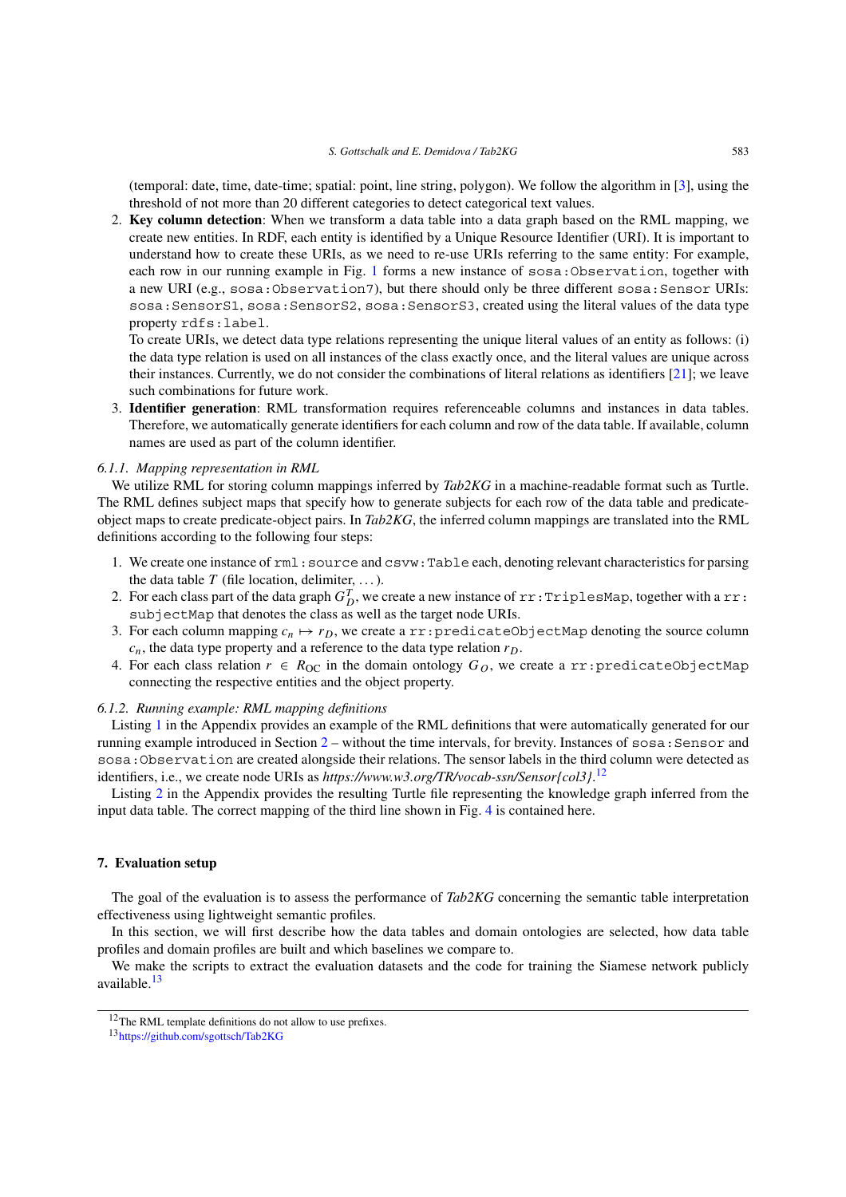(temporal: date, time, date-time; spatial: point, line string, polygon). We follow the algorithm in [\[3](#page-24-4)], using the threshold of not more than 20 different categories to detect categorical text values.

2. **Key column detection**: When we transform a data table into a data graph based on the RML mapping, we create new entities. In RDF, each entity is identified by a Unique Resource Identifier (URI). It is important to understand how to create these URIs, as we need to re-use URIs referring to the same entity: For example, each row in our running example in Fig. [1](#page-2-2) forms a new instance of sosa:Observation, together with a new URI (e.g., sosa:Observation7), but there should only be three different sosa: Sensor URIs: sosa:SensorS1, sosa:SensorS2, sosa:SensorS3, created using the literal values of the data type property rdfs:label.

To create URIs, we detect data type relations representing the unique literal values of an entity as follows: (i) the data type relation is used on all instances of the class exactly once, and the literal values are unique across their instances. Currently, we do not consider the combinations of literal relations as identifiers [\[21\]](#page-25-11); we leave such combinations for future work.

3. **Identifier generation**: RML transformation requires referenceable columns and instances in data tables. Therefore, we automatically generate identifiers for each column and row of the data table. If available, column names are used as part of the column identifier.

#### *6.1.1. Mapping representation in RML*

We utilize RML for storing column mappings inferred by *Tab2KG* in a machine-readable format such as Turtle. The RML defines subject maps that specify how to generate subjects for each row of the data table and predicateobject maps to create predicate-object pairs. In *Tab2KG*, the inferred column mappings are translated into the RML definitions according to the following four steps:

- 1. We create one instance of rml:source and csvw:Table each, denoting relevant characteristics for parsing the data table  $T$  (file location, delimiter, ...).
- 2. For each class part of the data graph  $G_D^T$ , we create a new instance of  $rr:TriplesMap$ , together with a  $rr:$ subjectMap that denotes the class as well as the target node URIs.
- 3. For each column mapping  $c_n \mapsto r_D$ , we create a rr:predicateObjectMap denoting the source column  $c_n$ , the data type property and a reference to the data type relation  $r_D$ .
- 4. For each class relation  $r \in R_{\text{OC}}$  in the domain ontology  $G_O$ , we create a rr:predicateObjectMap connecting the respective entities and the object property.

#### *6.1.2. Running example: RML mapping definitions*

Listing [1](#page-23-0) in the Appendix provides an example of the RML definitions that were automatically generated for our running example introduced in Section  $2 2 -$  without the time intervals, for brevity. Instances of sosa: Sensor and sosa:Observation are created alongside their relations. The sensor labels in the third column were detected as identifiers, i.e., we create node URIs as *https://www.w3.org/TR/vocab-ssn/Sensor{col3}*. [12](#page-12-1)

Listing [2](#page-24-5) in the Appendix provides the resulting Turtle file representing the knowledge graph inferred from the input data table. The correct mapping of the third line shown in Fig. [4](#page-3-2) is contained here.

# <span id="page-12-0"></span>**7. Evaluation setup**

The goal of the evaluation is to assess the performance of *Tab2KG* concerning the semantic table interpretation effectiveness using lightweight semantic profiles.

In this section, we will first describe how the data tables and domain ontologies are selected, how data table profiles and domain profiles are built and which baselines we compare to.

We make the scripts to extract the evaluation datasets and the code for training the Siamese network publicly available[.13](#page-12-2)

<span id="page-12-1"></span><sup>&</sup>lt;sup>12</sup>The RML template definitions do not allow to use prefixes.

<span id="page-12-2"></span><sup>13</sup><https://github.com/sgottsch/Tab2KG>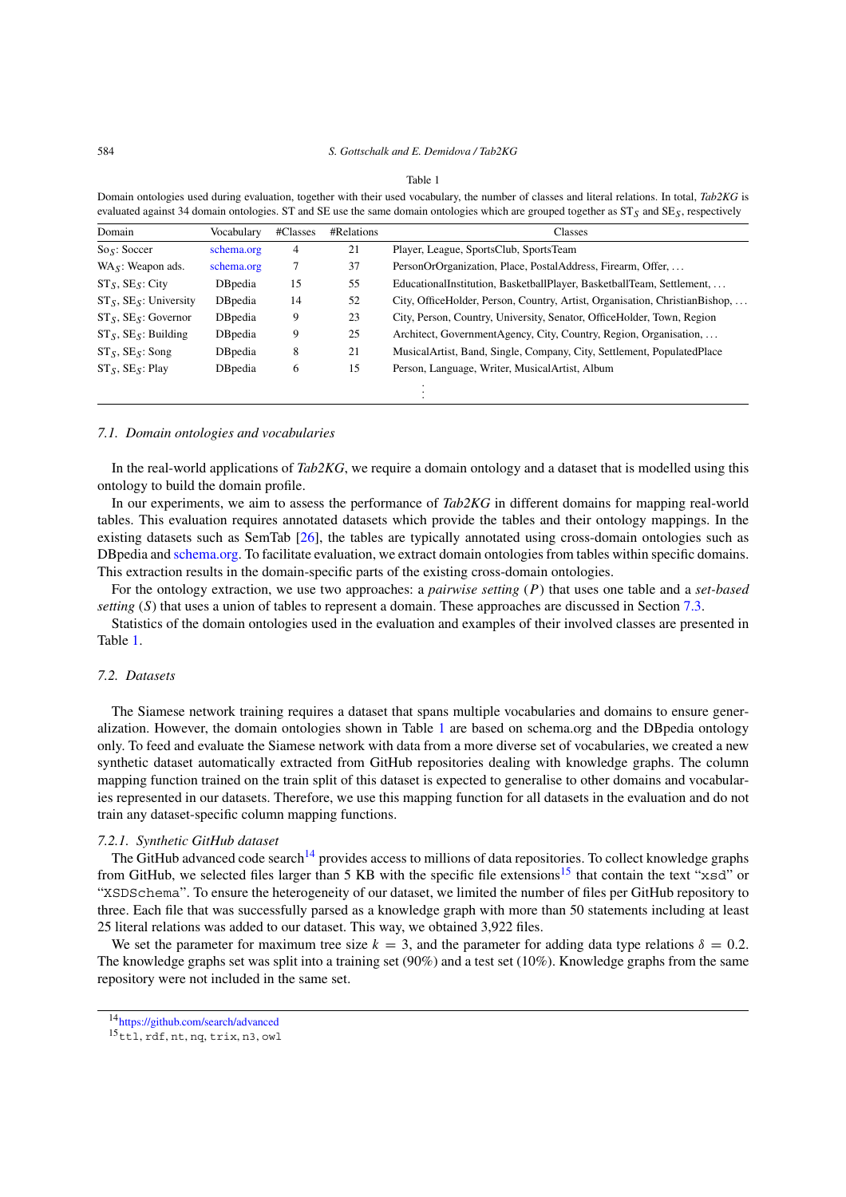<span id="page-13-0"></span>Domain ontologies used during evaluation, together with their used vocabulary, the number of classes and literal relations. In total, *Tab2KG* is evaluated against 34 domain ontologies. ST and SE use the same domain ontologies which are grouped together as ST*S* and SE*S*, respectively

| Domain                       | Vocabulary      | #Classes       | #Relations | Classes                                                                     |
|------------------------------|-----------------|----------------|------------|-----------------------------------------------------------------------------|
| $S_{\rm OS}$ : Soccer        | schema.org      | $\overline{4}$ | 21         | Player, League, SportsClub, SportsTeam                                      |
| $WA_S$ : Weapon ads.         | schema.org      |                | 37         | PersonOrOrganization, Place, PostalAddress, Firearm, Offer,                 |
| $ST_S$ , $SE_S$ : City       | <b>DB</b> pedia | 15             | 55         | EducationalInstitution, BasketballPlayer, BasketballTeam, Settlement,       |
| $ST_S$ , $SE_S$ : University | DBpedia         | 14             | 52         | City, OfficeHolder, Person, Country, Artist, Organisation, ChristianBishop, |
| $ST_S$ , $SE_S$ : Governor   | DBpedia         | 9              | 23         | City, Person, Country, University, Senator, OfficeHolder, Town, Region      |
| $ST_S$ , $SE_S$ : Building   | DBpedia         | 9              | 25         | Architect, GovernmentAgency, City, Country, Region, Organisation,           |
| $ST_S$ , $SE_S$ : Song       | DBpedia         | 8              | 21         | MusicalArtist, Band, Single, Company, City, Settlement, PopulatedPlace      |
| $ST_S$ , $SE_S$ : Play       | DBpedia         | 6              | 15         | Person, Language, Writer, MusicalArtist, Album                              |
|                              |                 |                |            |                                                                             |

#### *7.1. Domain ontologies and vocabularies*

In the real-world applications of *Tab2KG*, we require a domain ontology and a dataset that is modelled using this ontology to build the domain profile.

In our experiments, we aim to assess the performance of *Tab2KG* in different domains for mapping real-world tables. This evaluation requires annotated datasets which provide the tables and their ontology mappings. In the existing datasets such as SemTab [\[26](#page-25-12)], the tables are typically annotated using cross-domain ontologies such as DBpedia and [schema.org.](http://schema.org) To facilitate evaluation, we extract domain ontologies from tables within specific domains. This extraction results in the domain-specific parts of the existing cross-domain ontologies.

For the ontology extraction, we use two approaches: a *pairwise setting* (*P*) that uses one table and a *set-based setting* (*S*) that uses a union of tables to represent a domain. These approaches are discussed in Section [7.3](#page-14-0).

Statistics of the domain ontologies used in the evaluation and examples of their involved classes are presented in Table [1.](#page-13-0)

# *7.2. Datasets*

The Siamese network training requires a dataset that spans multiple vocabularies and domains to ensure generalization. However, the domain ontologies shown in Table [1](#page-13-0) are based on schema.org and the DBpedia ontology only. To feed and evaluate the Siamese network with data from a more diverse set of vocabularies, we created a new synthetic dataset automatically extracted from GitHub repositories dealing with knowledge graphs. The column mapping function trained on the train split of this dataset is expected to generalise to other domains and vocabularies represented in our datasets. Therefore, we use this mapping function for all datasets in the evaluation and do not train any dataset-specific column mapping functions.

#### *7.2.1. Synthetic GitHub dataset*

The GitHub advanced code search<sup>[14](#page-13-1)</sup> provides access to millions of data repositories. To collect knowledge graphs from GitHub, we selected files larger than 5 KB with the specific file extensions<sup>[15](#page-13-2)</sup> that contain the text "xsd" or "XSDSchema". To ensure the heterogeneity of our dataset, we limited the number of files per GitHub repository to three. Each file that was successfully parsed as a knowledge graph with more than 50 statements including at least 25 literal relations was added to our dataset. This way, we obtained 3,922 files.

We set the parameter for maximum tree size  $k = 3$ , and the parameter for adding data type relations  $\delta = 0.2$ . The knowledge graphs set was split into a training set (90%) and a test set (10%). Knowledge graphs from the same repository were not included in the same set.

<span id="page-13-1"></span><sup>&</sup>lt;sup>14</sup><https://github.com/search/advanced>

<span id="page-13-2"></span><sup>15</sup>ttl, rdf, nt, nq, trix, n3, owl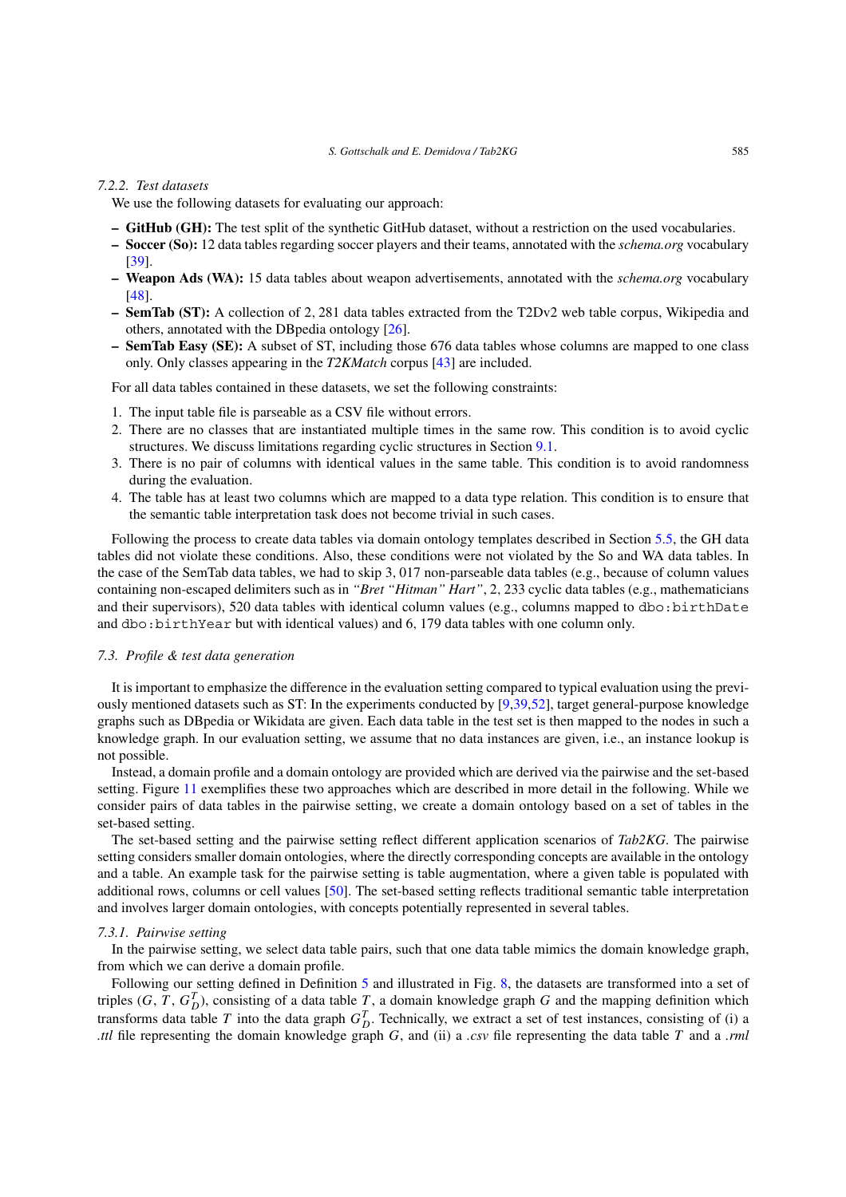#### *7.2.2. Test datasets*

We use the following datasets for evaluating our approach:

- **GitHub (GH):** The test split of the synthetic GitHub dataset, without a restriction on the used vocabularies.
- **Soccer (So):** 12 data tables regarding soccer players and their teams, annotated with the *schema.org* vocabulary [[39\]](#page-26-5).
- **Weapon Ads (WA):** 15 data tables about weapon advertisements, annotated with the *schema.org* vocabulary [[48\]](#page-26-6).
- **SemTab (ST):** A collection of 2*,* 281 data tables extracted from the T2Dv2 web table corpus, Wikipedia and others, annotated with the DBpedia ontology [[26\]](#page-25-12).
- **SemTab Easy (SE):** A subset of ST, including those 676 data tables whose columns are mapped to one class only. Only classes appearing in the *T2KMatch* corpus [\[43](#page-26-7)] are included.

For all data tables contained in these datasets, we set the following constraints:

- 1. The input table file is parseable as a CSV file without errors.
- 2. There are no classes that are instantiated multiple times in the same row. This condition is to avoid cyclic structures. We discuss limitations regarding cyclic structures in Section [9.1](#page-19-1).
- 3. There is no pair of columns with identical values in the same table. This condition is to avoid randomness during the evaluation.
- 4. The table has at least two columns which are mapped to a data type relation. This condition is to ensure that the semantic table interpretation task does not become trivial in such cases.

Following the process to create data tables via domain ontology templates described in Section [5.5](#page-10-0), the GH data tables did not violate these conditions. Also, these conditions were not violated by the So and WA data tables. In the case of the SemTab data tables, we had to skip 3*,* 017 non-parseable data tables (e.g., because of column values containing non-escaped delimiters such as in *"Bret "Hitman" Hart"*, 2*,* 233 cyclic data tables (e.g., mathematicians and their supervisors), 520 data tables with identical column values (e.g., columns mapped to dbo:birthDate and dbo:birthYear but with identical values) and 6*,* 179 data tables with one column only.

#### <span id="page-14-0"></span>*7.3. Profile & test data generation*

It is important to emphasize the difference in the evaluation setting compared to typical evaluation using the previously mentioned datasets such as ST: In the experiments conducted by [\[9,](#page-24-6)[39](#page-26-5),[52\]](#page-26-8), target general-purpose knowledge graphs such as DBpedia or Wikidata are given. Each data table in the test set is then mapped to the nodes in such a knowledge graph. In our evaluation setting, we assume that no data instances are given, i.e., an instance lookup is not possible.

Instead, a domain profile and a domain ontology are provided which are derived via the pairwise and the set-based setting. Figure [11](#page-15-0) exemplifies these two approaches which are described in more detail in the following. While we consider pairs of data tables in the pairwise setting, we create a domain ontology based on a set of tables in the set-based setting.

The set-based setting and the pairwise setting reflect different application scenarios of *Tab2KG*. The pairwise setting considers smaller domain ontologies, where the directly corresponding concepts are available in the ontology and a table. An example task for the pairwise setting is table augmentation, where a given table is populated with additional rows, columns or cell values [\[50\]](#page-26-9). The set-based setting reflects traditional semantic table interpretation and involves larger domain ontologies, with concepts potentially represented in several tables.

#### *7.3.1. Pairwise setting*

In the pairwise setting, we select data table pairs, such that one data table mimics the domain knowledge graph, from which we can derive a domain profile.

Following our setting defined in Definition [5](#page-4-2) and illustrated in Fig. [8](#page-8-1), the datasets are transformed into a set of triples  $(G, T, G_D^T)$ , consisting of a data table  $T$ , a domain knowledge graph  $G$  and the mapping definition which transforms data table *T* into the data graph  $G_D^T$ . Technically, we extract a set of test instances, consisting of (i) a *.ttl* file representing the domain knowledge graph *G*, and (ii) a *.csv* file representing the data table *T* and a *.rml*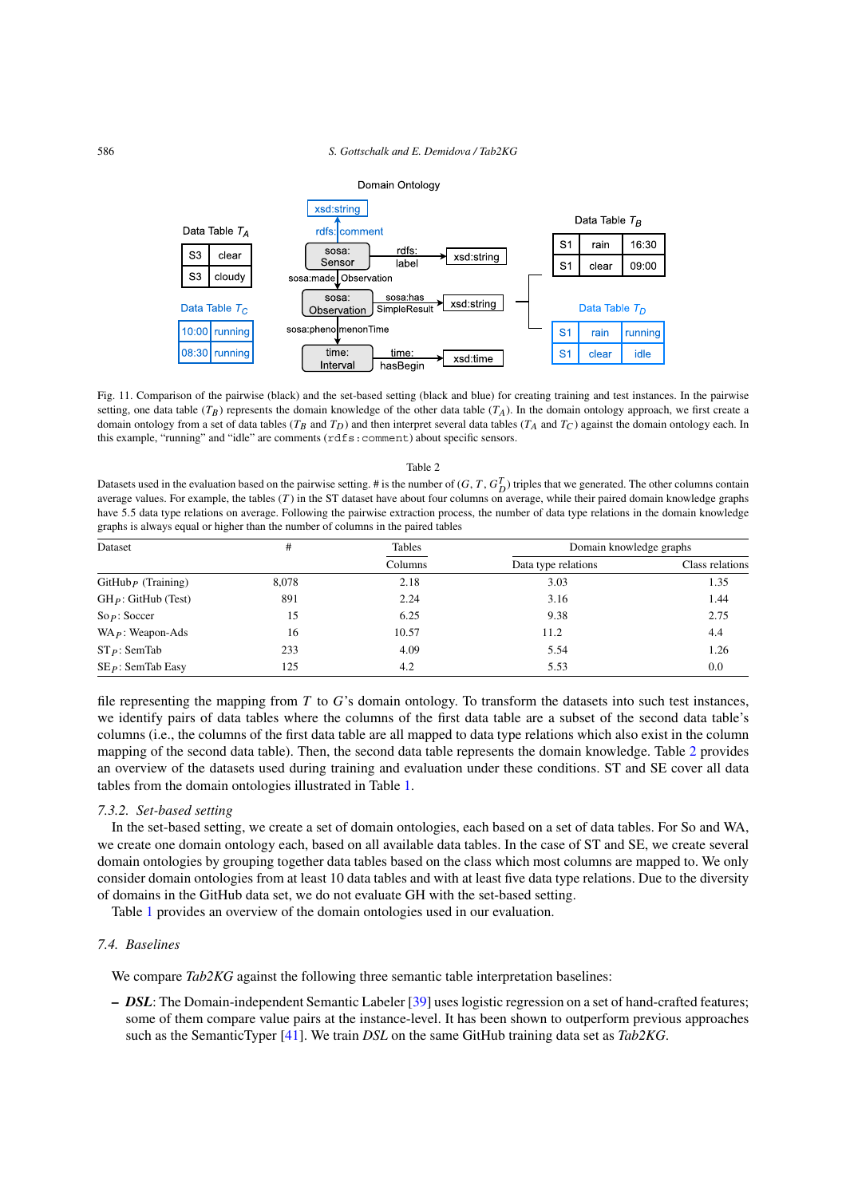Domain Ontology



<span id="page-15-0"></span>Fig. 11. Comparison of the pairwise (black) and the set-based setting (black and blue) for creating training and test instances. In the pairwise setting, one data table  $(T_B)$  represents the domain knowledge of the other data table  $(T_A)$ . In the domain ontology approach, we first create a domain ontology from a set of data tables ( $T_B$  and  $T_D$ ) and then interpret several data tables ( $T_A$  and  $T_C$ ) against the domain ontology each. In this example, "running" and "idle" are comments (rdfs:comment) about specific sensors.

# <span id="page-15-1"></span>Datasets used in the evaluation based on the pairwise setting. # is the number of  $(G, T, G_D^T)$  triples that we generated. The other columns contain average values. For example, the tables (*T* ) in the ST dataset have about four columns on average, while their paired domain knowledge graphs have 5*.*5 data type relations on average. Following the pairwise extraction process, the number of data type relations in the domain knowledge graphs is always equal or higher than the number of columns in the paired tables

Table 2

| Dataset                             | #     | Tables  | Domain knowledge graphs |                 |  |
|-------------------------------------|-------|---------|-------------------------|-----------------|--|
|                                     |       | Columns | Data type relations     | Class relations |  |
| $G$ itHub $\overline{P}$ (Training) | 8,078 | 2.18    | 3.03                    | 1.35            |  |
| $GH_P$ : GitHub (Test)              | 891   | 2.24    | 3.16                    | 1.44            |  |
| So p: So ccer                       | 15    | 6.25    | 9.38                    | 2.75            |  |
| $WA_P$ : Weapon-Ads                 | 16    | 10.57   | 11.2                    | 4.4             |  |
| $ST_P$ : SemTab                     | 233   | 4.09    | 5.54                    | 1.26            |  |
| $SE_P$ : SemTab Easy                | 125   | 4.2     | 5.53                    | 0.0             |  |

file representing the mapping from *T* to *G*'s domain ontology. To transform the datasets into such test instances, we identify pairs of data tables where the columns of the first data table are a subset of the second data table's columns (i.e., the columns of the first data table are all mapped to data type relations which also exist in the column mapping of the second data table). Then, the second data table represents the domain knowledge. Table [2](#page-15-1) provides an overview of the datasets used during training and evaluation under these conditions. ST and SE cover all data tables from the domain ontologies illustrated in Table [1](#page-13-0).

#### *7.3.2. Set-based setting*

In the set-based setting, we create a set of domain ontologies, each based on a set of data tables. For So and WA, we create one domain ontology each, based on all available data tables. In the case of ST and SE, we create several domain ontologies by grouping together data tables based on the class which most columns are mapped to. We only consider domain ontologies from at least 10 data tables and with at least five data type relations. Due to the diversity of domains in the GitHub data set, we do not evaluate GH with the set-based setting.

Table [1](#page-13-0) provides an overview of the domain ontologies used in our evaluation.

# *7.4. Baselines*

We compare *Tab2KG* against the following three semantic table interpretation baselines:

**–** *DSL*: The Domain-independent Semantic Labeler [\[39](#page-26-5)] uses logistic regression on a set of hand-crafted features; some of them compare value pairs at the instance-level. It has been shown to outperform previous approaches such as the SemanticTyper [\[41](#page-26-10)]. We train *DSL* on the same GitHub training data set as *Tab2KG*.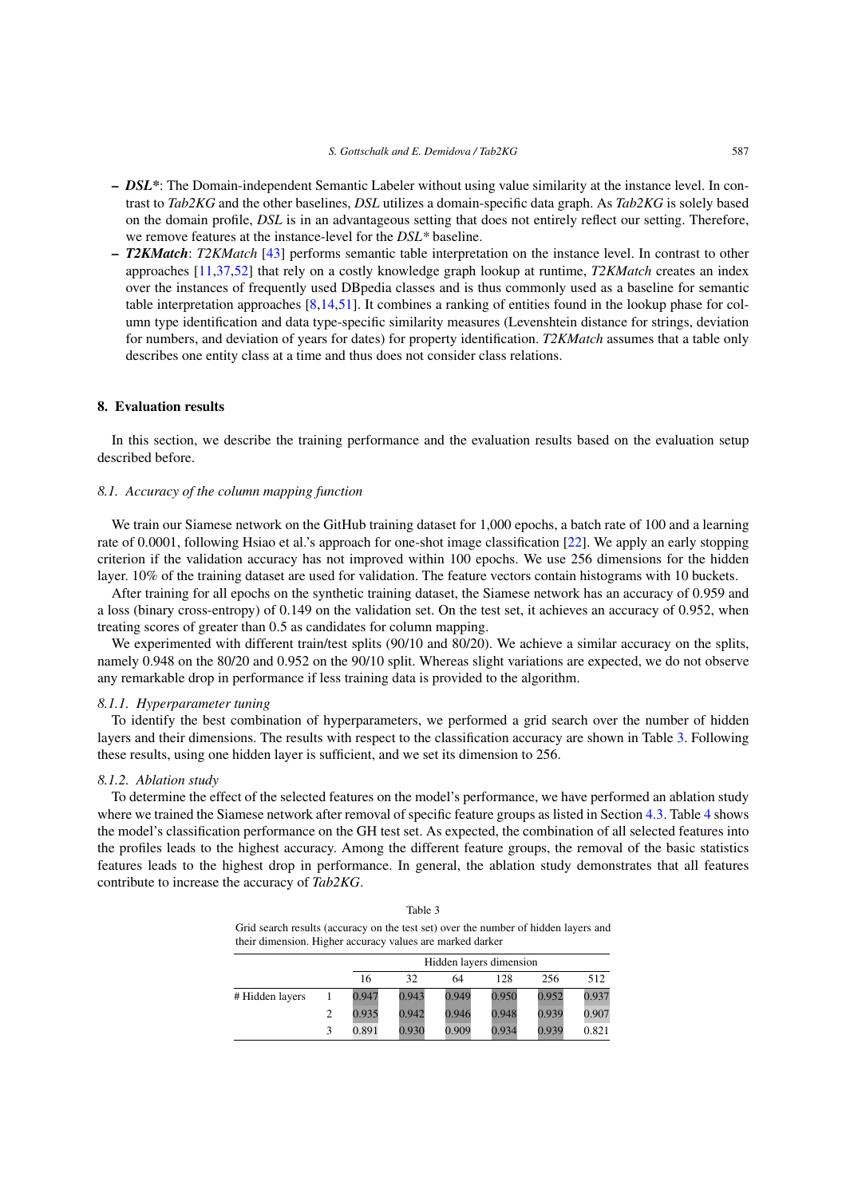- **–** *DSL\**: The Domain-independent Semantic Labeler without using value similarity at the instance level. In contrast to *Tab2KG* and the other baselines, *DSL* utilizes a domain-specific data graph. As *Tab2KG* is solely based on the domain profile, *DSL* is in an advantageous setting that does not entirely reflect our setting. Therefore, we remove features at the instance-level for the *DSL\** baseline.
- **–** *T2KMatch*: *T2KMatch* [\[43](#page-26-7)] performs semantic table interpretation on the instance level. In contrast to other approaches [[11,](#page-24-2)[37](#page-26-3),[52\]](#page-26-8) that rely on a costly knowledge graph lookup at runtime, *T2KMatch* creates an index over the instances of frequently used DBpedia classes and is thus commonly used as a baseline for semantic table interpretation approaches [[8](#page-24-1)[,14](#page-25-13),[51](#page-26-11)]. It combines a ranking of entities found in the lookup phase for column type identification and data type-specific similarity measures (Levenshtein distance for strings, deviation for numbers, and deviation of years for dates) for property identification. *T2KMatch* assumes that a table only describes one entity class at a time and thus does not consider class relations.

# <span id="page-16-0"></span>**8. Evaluation results**

In this section, we describe the training performance and the evaluation results based on the evaluation setup described before.

# <span id="page-16-2"></span>*8.1. Accuracy of the column mapping function*

We train our Siamese network on the GitHub training dataset for 1,000 epochs, a batch rate of 100 and a learning rate of 0*.*0001, following Hsiao et al.'s approach for one-shot image classification [\[22](#page-25-14)]. We apply an early stopping criterion if the validation accuracy has not improved within 100 epochs. We use 256 dimensions for the hidden layer. 10% of the training dataset are used for validation. The feature vectors contain histograms with 10 buckets.

After training for all epochs on the synthetic training dataset, the Siamese network has an accuracy of 0*.*959 and a loss (binary cross-entropy) of 0*.*149 on the validation set. On the test set, it achieves an accuracy of 0*.*952, when treating scores of greater than 0*.*5 as candidates for column mapping.

We experimented with different train/test splits (90/10 and 80/20). We achieve a similar accuracy on the splits, namely 0.948 on the 80/20 and 0.952 on the 90/10 split. Whereas slight variations are expected, we do not observe any remarkable drop in performance if less training data is provided to the algorithm.

#### *8.1.1. Hyperparameter tuning*

To identify the best combination of hyperparameters, we performed a grid search over the number of hidden layers and their dimensions. The results with respect to the classification accuracy are shown in Table [3](#page-16-1). Following these results, using one hidden layer is sufficient, and we set its dimension to 256.

#### *8.1.2. Ablation study*

To determine the effect of the selected features on the model's performance, we have performed an ablation study where we trained the Siamese network after removal of specific feature groups as listed in Section [4.3.](#page-5-2) Table [4](#page-17-0) shows the model's classification performance on the GH test set. As expected, the combination of all selected features into the profiles leads to the highest accuracy. Among the different feature groups, the removal of the basic statistics features leads to the highest drop in performance. In general, the ablation study demonstrates that all features contribute to increase the accuracy of *Tab2KG*.

| Table 3                                                                             |
|-------------------------------------------------------------------------------------|
| Grid search results (accuracy on the test set) over the number of hidden layers and |
| their dimension. Higher accuracy values are marked darker                           |

<span id="page-16-1"></span>

|                 |       | Hidden layers dimension |       |       |       |       |  |  |  |  |  |
|-----------------|-------|-------------------------|-------|-------|-------|-------|--|--|--|--|--|
|                 | 16    | 32                      | 64    | 128   | 256   | 512   |  |  |  |  |  |
| # Hidden layers | 0.947 | 0.943                   | 0.949 | 0.950 | 0.952 | 0.937 |  |  |  |  |  |
|                 | 0.935 | 0.942                   | 0.946 | 0.948 | 0.939 | 0.907 |  |  |  |  |  |
|                 | 0.891 | 0.930                   | 0.909 | 0.934 | 0.939 | 0.821 |  |  |  |  |  |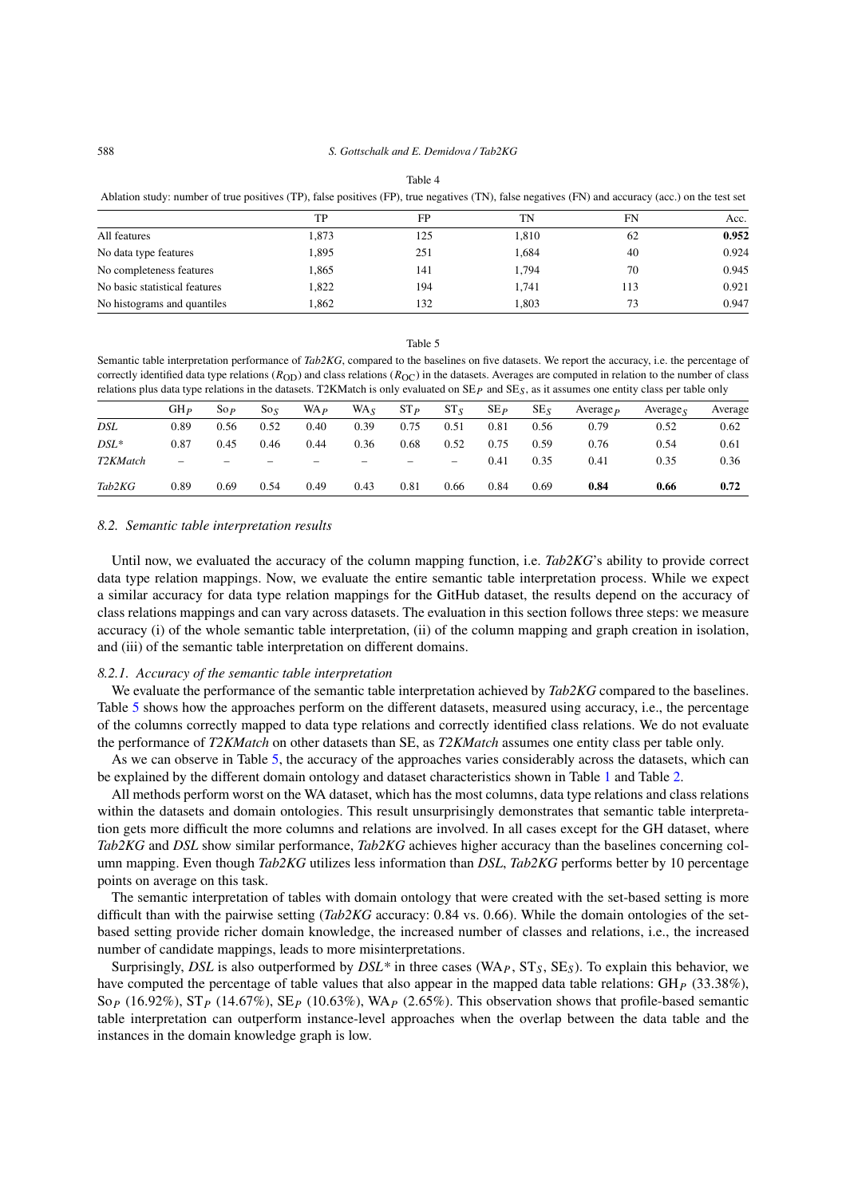<span id="page-17-0"></span>

| Ablation study: number of true positives (TP), false positives (FP), true negatives (TN), false negatives (FN) and accuracy (acc.) on the test set |       |     |       |     |       |  |  |  |  |  |  |
|----------------------------------------------------------------------------------------------------------------------------------------------------|-------|-----|-------|-----|-------|--|--|--|--|--|--|
|                                                                                                                                                    | TP    | FP  | TN    | FN  | Acc.  |  |  |  |  |  |  |
| All features                                                                                                                                       | 1.873 | 125 | 1.810 | 62  | 0.952 |  |  |  |  |  |  |
| No data type features                                                                                                                              | 1.895 | 251 | 1.684 | 40  | 0.924 |  |  |  |  |  |  |
| No completeness features                                                                                                                           | 1.865 | 141 | 1.794 | 70  | 0.945 |  |  |  |  |  |  |
| No basic statistical features                                                                                                                      | 1.822 | 194 | 1.741 | 113 | 0.921 |  |  |  |  |  |  |
| No histograms and quantiles                                                                                                                        | 1.862 | 132 | 1.803 | 73  | 0.947 |  |  |  |  |  |  |

#### Table 4

Table 5

<span id="page-17-1"></span>Semantic table interpretation performance of *Tab2KG*, compared to the baselines on five datasets. We report the accuracy, i.e. the percentage of correctly identified data type relations ( $R_{\text{OD}}$ ) and class relations ( $R_{\text{OC}}$ ) in the datasets. Averages are computed in relation to the number of class relations plus data type relations in the datasets. T2KMatch is only evaluated on SE*P* and SE*S*, as it assumes one entity class per table only

|          | GH <sub>p</sub>          | $\mathop{\mathrm{So}}\nolimits_{\mathcal{P}}$ | $S_0$ <sub>s</sub> | WA <sub>p</sub> | WA <sub>s</sub> | $ST_{P}$ | $ST_S$          | $SE_{P}$ | SE <sub>5</sub> | Average $_{P}$ | Average $_{\rm c}$ | Average |
|----------|--------------------------|-----------------------------------------------|--------------------|-----------------|-----------------|----------|-----------------|----------|-----------------|----------------|--------------------|---------|
| DSL      | 0.89                     | 0.56                                          | 0.52               | 0.40            | 0.39            | 0.75     | 0.51            | 0.81     | 0.56            | 0.79           | 0.52               | 0.62    |
| $DSL^*$  | 0.87                     | 0.45                                          | 0.46               | 0.44            | 0.36            | 0.68     | 0.52            | 0.75     | 0.59            | 0.76           | 0.54               | 0.61    |
| T2KMatch | $\overline{\phantom{0}}$ |                                               |                    |                 |                 |          | $\qquad \qquad$ | 0.41     | 0.35            | 0.41           | 0.35               | 0.36    |
| Tab2KG   | 0.89                     | 0.69                                          | 0.54               | 0.49            | 0.43            | 0.81     | 0.66            | 0.84     | 0.69            | 0.84           | 0.66               | 0.72    |

#### *8.2. Semantic table interpretation results*

Until now, we evaluated the accuracy of the column mapping function, i.e. *Tab2KG*'s ability to provide correct data type relation mappings. Now, we evaluate the entire semantic table interpretation process. While we expect a similar accuracy for data type relation mappings for the GitHub dataset, the results depend on the accuracy of class relations mappings and can vary across datasets. The evaluation in this section follows three steps: we measure accuracy (i) of the whole semantic table interpretation, (ii) of the column mapping and graph creation in isolation, and (iii) of the semantic table interpretation on different domains.

#### *8.2.1. Accuracy of the semantic table interpretation*

We evaluate the performance of the semantic table interpretation achieved by *Tab2KG* compared to the baselines. Table [5](#page-17-1) shows how the approaches perform on the different datasets, measured using accuracy, i.e., the percentage of the columns correctly mapped to data type relations and correctly identified class relations. We do not evaluate the performance of *T2KMatch* on other datasets than SE, as *T2KMatch* assumes one entity class per table only.

As we can observe in Table [5](#page-17-1), the accuracy of the approaches varies considerably across the datasets, which can be explained by the different domain ontology and dataset characteristics shown in Table [1](#page-13-0) and Table [2.](#page-15-1)

All methods perform worst on the WA dataset, which has the most columns, data type relations and class relations within the datasets and domain ontologies. This result unsurprisingly demonstrates that semantic table interpretation gets more difficult the more columns and relations are involved. In all cases except for the GH dataset, where *Tab2KG* and *DSL* show similar performance, *Tab2KG* achieves higher accuracy than the baselines concerning column mapping. Even though *Tab2KG* utilizes less information than *DSL*, *Tab2KG* performs better by 10 percentage points on average on this task.

The semantic interpretation of tables with domain ontology that were created with the set-based setting is more difficult than with the pairwise setting (*Tab2KG* accuracy: 0*.*84 vs. 0*.*66). While the domain ontologies of the setbased setting provide richer domain knowledge, the increased number of classes and relations, i.e., the increased number of candidate mappings, leads to more misinterpretations.

Surprisingly, *DSL* is also outperformed by *DSL\** in three cases (WA<sub>P</sub>,  $ST_S$ ,  $SE_S$ ). To explain this behavior, we have computed the percentage of table values that also appear in the mapped data table relations: GH*<sup>P</sup>* (33*.*38%), So*<sup>P</sup>* (16*.*92%), ST*<sup>P</sup>* (14*.*67%), SE*<sup>P</sup>* (10*.*63%), WA*<sup>P</sup>* (2*.*65%). This observation shows that profile-based semantic table interpretation can outperform instance-level approaches when the overlap between the data table and the instances in the domain knowledge graph is low.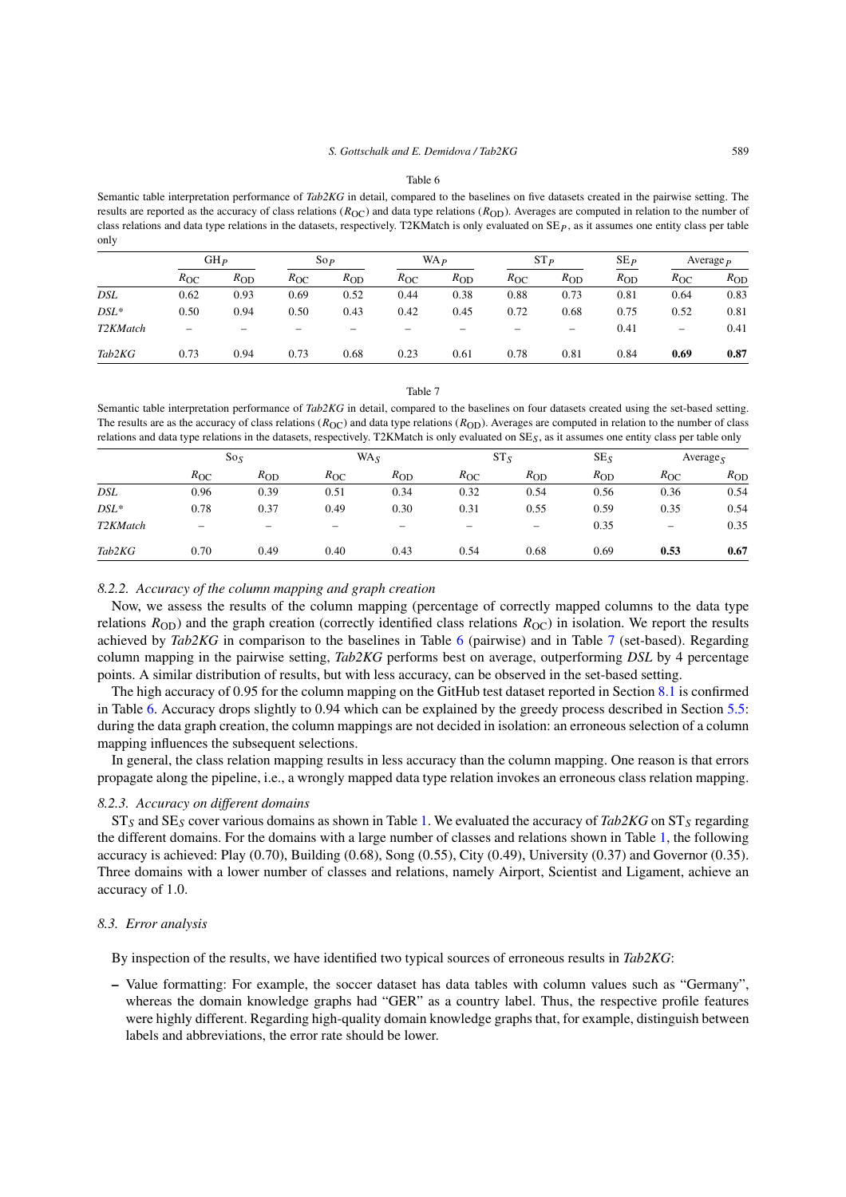Table 6

<span id="page-18-0"></span>Semantic table interpretation performance of *Tab2KG* in detail, compared to the baselines on five datasets created in the pairwise setting. The results are reported as the accuracy of class relations ( $R_{\text{OC}}$ ) and data type relations ( $R_{\text{OD}}$ ). Averages are computed in relation to the number of class relations and data type relations in the datasets, respectively. T2KMatch is only evaluated on SE*P* , as it assumes one entity class per table only

|                       | GHP          |          | $\operatorname{So} P$ |          | WA <sub>P</sub> |          | $ST_{P}$     |          | SE <sub>P</sub> | Average $\overline{P}$ |          |
|-----------------------|--------------|----------|-----------------------|----------|-----------------|----------|--------------|----------|-----------------|------------------------|----------|
|                       | $R_{\rm OC}$ | $R_{OD}$ | $R_{\rm OC}$          | $R_{OD}$ | $R_{\rm OC}$    | $R_{OD}$ | $R_{\rm OC}$ | $R_{OD}$ | $R_{OD}$        | $R_{\rm OC}$           | $R_{OD}$ |
| DSL                   | 0.62         | 0.93     | 0.69                  | 0.52     | 0.44            | 0.38     | 0.88         | 0.73     | 0.81            | 0.64                   | 0.83     |
| $DSL^*$               | 0.50         | 0.94     | 0.50                  | 0.43     | 0.42            | 0.45     | 0.72         | 0.68     | 0.75            | 0.52                   | 0.81     |
| T <sub>2</sub> KMatch |              |          |                       |          |                 |          |              | -        | 0.41            | -                      | 0.41     |
| Tab2KG                | 0.73         | 0.94     | 0.73                  | 0.68     | 0.23            | 0.61     | 0.78         | 0.81     | 0.84            | 0.69                   | 0.87     |

#### Table 7

<span id="page-18-1"></span>Semantic table interpretation performance of *Tab2KG* in detail, compared to the baselines on four datasets created using the set-based setting. The results are as the accuracy of class relations ( $R_{\text{OC}}$ ) and data type relations ( $R_{\text{OD}}$ ). Averages are computed in relation to the number of class relations and data type relations in the datasets, respectively. T2KMatch is only evaluated on SE*S*, as it assumes one entity class per table only

|                       | $So_S$       |                   |              | $WA_S$            |                   | $ST_S$   |          |                          | Average <sub>S</sub> |  |
|-----------------------|--------------|-------------------|--------------|-------------------|-------------------|----------|----------|--------------------------|----------------------|--|
|                       | $R_{\rm OC}$ | $R_{OD}$          | $R_{\rm OC}$ | $R_{OD}$          | $R_{\rm OC}$      | $R_{OD}$ | $R_{OD}$ | $R_{\rm OC}$             | $R_{OD}$             |  |
| DSL                   | 0.96         | 0.39              | 0.51         | 0.34              | 0.32              | 0.54     | 0.56     | 0.36                     | 0.54                 |  |
| $DSL^*$               | 0.78         | 0.37              | 0.49         | 0.30              | 0.31              | 0.55     | 0.59     | 0.35                     | 0.54                 |  |
| T <sub>2</sub> KMatch |              | $\hspace{0.05cm}$ |              | $\hspace{0.05cm}$ | $\hspace{0.05cm}$ | —        | 0.35     | $\overline{\phantom{m}}$ | 0.35                 |  |
| Tab2KG                | 0.70         | 0.49              | 0.40         | 0.43              | 0.54              | 0.68     | 0.69     | 0.53                     | 0.67                 |  |

#### *8.2.2. Accuracy of the column mapping and graph creation*

Now, we assess the results of the column mapping (percentage of correctly mapped columns to the data type relations  $R_{\text{OD}}$ ) and the graph creation (correctly identified class relations  $R_{\text{OC}}$ ) in isolation. We report the results achieved by *Tab2KG* in comparison to the baselines in Table [6](#page-18-0) (pairwise) and in Table [7](#page-18-1) (set-based). Regarding column mapping in the pairwise setting, *Tab2KG* performs best on average, outperforming *DSL* by 4 percentage points. A similar distribution of results, but with less accuracy, can be observed in the set-based setting.

The high accuracy of 0*.*95 for the column mapping on the GitHub test dataset reported in Section [8.1](#page-16-2) is confirmed in Table [6](#page-18-0). Accuracy drops slightly to 0*.*94 which can be explained by the greedy process described in Section [5.5](#page-10-0): during the data graph creation, the column mappings are not decided in isolation: an erroneous selection of a column mapping influences the subsequent selections.

In general, the class relation mapping results in less accuracy than the column mapping. One reason is that errors propagate along the pipeline, i.e., a wrongly mapped data type relation invokes an erroneous class relation mapping.

# *8.2.3. Accuracy on different domains*

ST*<sup>S</sup>* and SE*<sup>S</sup>* cover various domains as shown in Table [1.](#page-13-0) We evaluated the accuracy of *Tab2KG* on ST*<sup>S</sup>* regarding the different domains. For the domains with a large number of classes and relations shown in Table [1,](#page-13-0) the following accuracy is achieved: Play (0*.*70), Building (0*.*68), Song (0*.*55), City (0*.*49), University (0*.*37) and Governor (0*.*35). Three domains with a lower number of classes and relations, namely Airport, Scientist and Ligament, achieve an accuracy of 1*.*0.

#### *8.3. Error analysis*

By inspection of the results, we have identified two typical sources of erroneous results in *Tab2KG*:

**–** Value formatting: For example, the soccer dataset has data tables with column values such as "Germany", whereas the domain knowledge graphs had "GER" as a country label. Thus, the respective profile features were highly different. Regarding high-quality domain knowledge graphs that, for example, distinguish between labels and abbreviations, the error rate should be lower.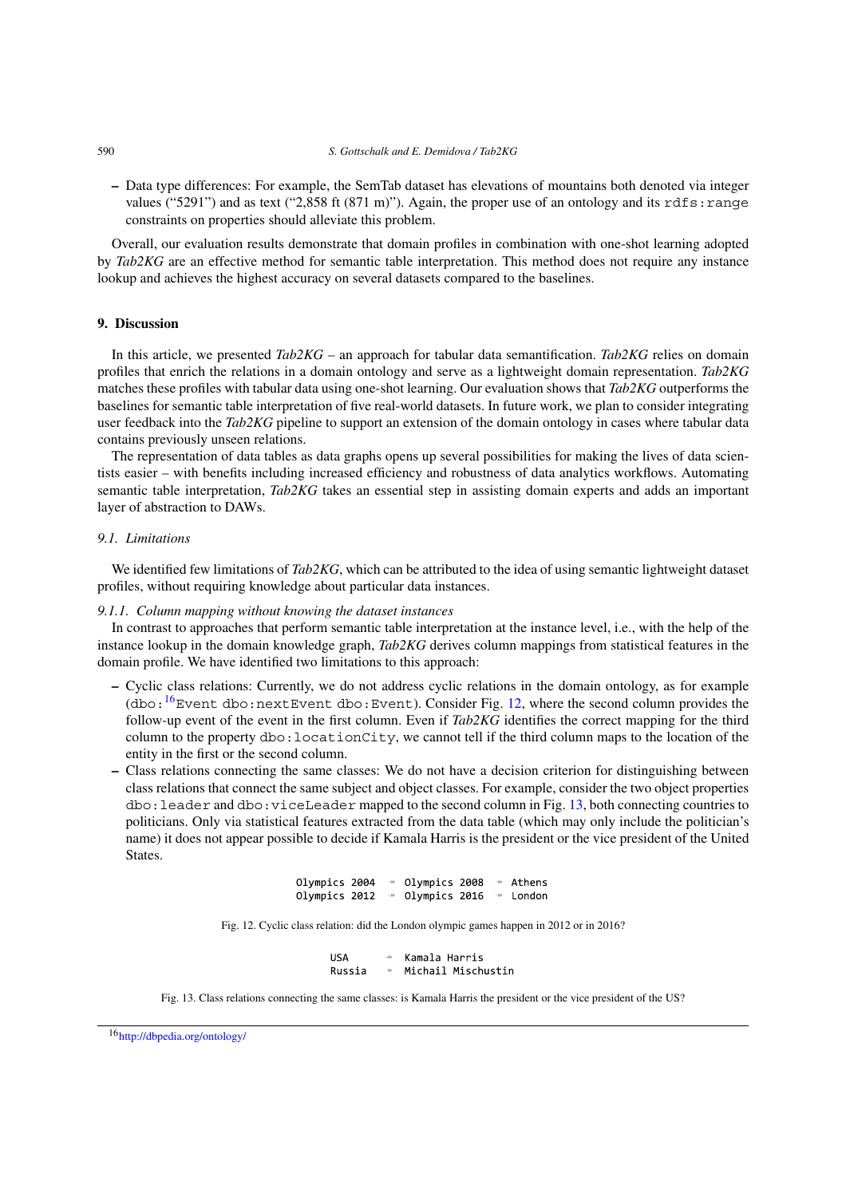**–** Data type differences: For example, the SemTab dataset has elevations of mountains both denoted via integer values ("5291") and as text ("2,858 ft (871 m)"). Again, the proper use of an ontology and its rdfs: range constraints on properties should alleviate this problem.

Overall, our evaluation results demonstrate that domain profiles in combination with one-shot learning adopted by *Tab2KG* are an effective method for semantic table interpretation. This method does not require any instance lookup and achieves the highest accuracy on several datasets compared to the baselines.

# <span id="page-19-0"></span>**9. Discussion**

In this article, we presented *Tab2KG* – an approach for tabular data semantification. *Tab2KG* relies on domain profiles that enrich the relations in a domain ontology and serve as a lightweight domain representation. *Tab2KG* matches these profiles with tabular data using one-shot learning. Our evaluation shows that *Tab2KG* outperforms the baselines for semantic table interpretation of five real-world datasets. In future work, we plan to consider integrating user feedback into the *Tab2KG* pipeline to support an extension of the domain ontology in cases where tabular data contains previously unseen relations.

The representation of data tables as data graphs opens up several possibilities for making the lives of data scientists easier – with benefits including increased efficiency and robustness of data analytics workflows. Automating semantic table interpretation, *Tab2KG* takes an essential step in assisting domain experts and adds an important layer of abstraction to DAWs.

# <span id="page-19-1"></span>*9.1. Limitations*

We identified few limitations of *Tab2KG*, which can be attributed to the idea of using semantic lightweight dataset profiles, without requiring knowledge about particular data instances.

# *9.1.1. Column mapping without knowing the dataset instances*

In contrast to approaches that perform semantic table interpretation at the instance level, i.e., with the help of the instance lookup in the domain knowledge graph, *Tab2KG* derives column mappings from statistical features in the domain profile. We have identified two limitations to this approach:

- **–** Cyclic class relations: Currently, we do not address cyclic relations in the domain ontology, as for example (dbo: $16$ Event dbo:nextEvent dbo:Event). Consider Fig. [12,](#page-19-3) where the second column provides the follow-up event of the event in the first column. Even if *Tab2KG* identifies the correct mapping for the third column to the property dbo:locationCity, we cannot tell if the third column maps to the location of the entity in the first or the second column.
- **–** Class relations connecting the same classes: We do not have a decision criterion for distinguishing between class relations that connect the same subject and object classes. For example, consider the two object properties  $\phi$ : leader and  $\phi$ : viceLeader mapped to the second column in Fig. [13](#page-19-4), both connecting countries to politicians. Only via statistical features extracted from the data table (which may only include the politician's name) it does not appear possible to decide if Kamala Harris is the president or the vice president of the United **States**.

| Olympics 2004 |  | Olympics 2008 |  | Athens |
|---------------|--|---------------|--|--------|
| Olympics 2012 |  | Olympics 2016 |  | London |

<span id="page-19-3"></span>Fig. 12. Cyclic class relation: did the London olympic games happen in 2012 or in 2016?

**USA** Kamala Harris Michail Mischustin Russia

<span id="page-19-4"></span>Fig. 13. Class relations connecting the same classes: is Kamala Harris the president or the vice president of the US?

<span id="page-19-2"></span><sup>16</sup><http://dbpedia.org/ontology/>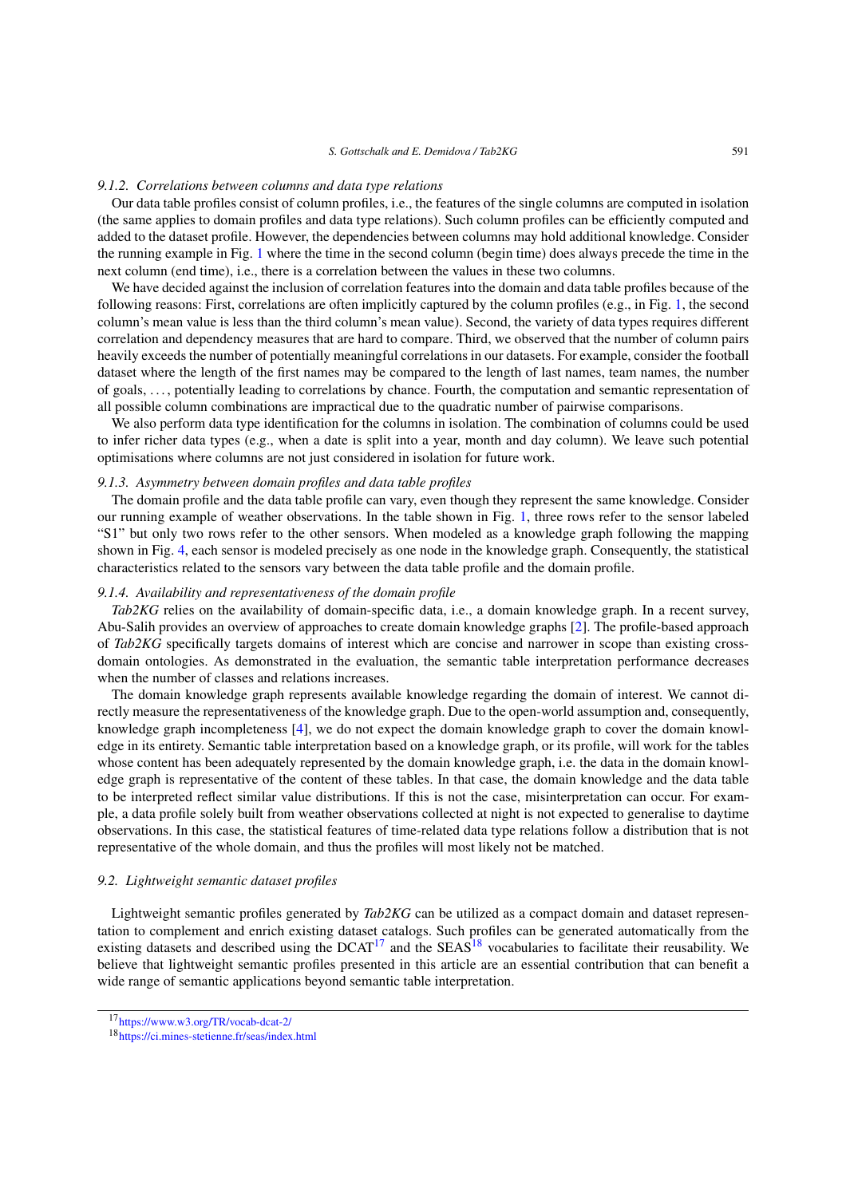#### *9.1.2. Correlations between columns and data type relations*

Our data table profiles consist of column profiles, i.e., the features of the single columns are computed in isolation (the same applies to domain profiles and data type relations). Such column profiles can be efficiently computed and added to the dataset profile. However, the dependencies between columns may hold additional knowledge. Consider the running example in Fig. [1](#page-2-2) where the time in the second column (begin time) does always precede the time in the next column (end time), i.e., there is a correlation between the values in these two columns.

We have decided against the inclusion of correlation features into the domain and data table profiles because of the following reasons: First, correlations are often implicitly captured by the column profiles (e.g., in Fig. [1,](#page-2-2) the second column's mean value is less than the third column's mean value). Second, the variety of data types requires different correlation and dependency measures that are hard to compare. Third, we observed that the number of column pairs heavily exceeds the number of potentially meaningful correlations in our datasets. For example, consider the football dataset where the length of the first names may be compared to the length of last names, team names, the number of goals, . . . , potentially leading to correlations by chance. Fourth, the computation and semantic representation of all possible column combinations are impractical due to the quadratic number of pairwise comparisons.

We also perform data type identification for the columns in isolation. The combination of columns could be used to infer richer data types (e.g., when a date is split into a year, month and day column). We leave such potential optimisations where columns are not just considered in isolation for future work.

# *9.1.3. Asymmetry between domain profiles and data table profiles*

The domain profile and the data table profile can vary, even though they represent the same knowledge. Consider our running example of weather observations. In the table shown in Fig. [1](#page-2-2), three rows refer to the sensor labeled "S1" but only two rows refer to the other sensors. When modeled as a knowledge graph following the mapping shown in Fig. [4](#page-3-2), each sensor is modeled precisely as one node in the knowledge graph. Consequently, the statistical characteristics related to the sensors vary between the data table profile and the domain profile.

#### *9.1.4. Availability and representativeness of the domain profile*

*Tab2KG* relies on the availability of domain-specific data, i.e., a domain knowledge graph. In a recent survey, Abu-Salih provides an overview of approaches to create domain knowledge graphs [\[2\]](#page-24-7). The profile-based approach of *Tab2KG* specifically targets domains of interest which are concise and narrower in scope than existing crossdomain ontologies. As demonstrated in the evaluation, the semantic table interpretation performance decreases when the number of classes and relations increases.

The domain knowledge graph represents available knowledge regarding the domain of interest. We cannot directly measure the representativeness of the knowledge graph. Due to the open-world assumption and, consequently, knowledge graph incompleteness [\[4](#page-24-8)], we do not expect the domain knowledge graph to cover the domain knowledge in its entirety. Semantic table interpretation based on a knowledge graph, or its profile, will work for the tables whose content has been adequately represented by the domain knowledge graph, i.e. the data in the domain knowledge graph is representative of the content of these tables. In that case, the domain knowledge and the data table to be interpreted reflect similar value distributions. If this is not the case, misinterpretation can occur. For example, a data profile solely built from weather observations collected at night is not expected to generalise to daytime observations. In this case, the statistical features of time-related data type relations follow a distribution that is not representative of the whole domain, and thus the profiles will most likely not be matched.

# *9.2. Lightweight semantic dataset profiles*

Lightweight semantic profiles generated by *Tab2KG* can be utilized as a compact domain and dataset representation to complement and enrich existing dataset catalogs. Such profiles can be generated automatically from the existing datasets and described using the  $DCAT<sup>17</sup>$  and the  $SEAS<sup>18</sup>$  $SEAS<sup>18</sup>$  $SEAS<sup>18</sup>$  vocabularies to facilitate their reusability. We believe that lightweight semantic profiles presented in this article are an essential contribution that can benefit a wide range of semantic applications beyond semantic table interpretation.

<span id="page-20-0"></span><sup>17</sup><https://www.w3.org/TR/vocab-dcat-2/>

<span id="page-20-1"></span><sup>18</sup><https://ci.mines-stetienne.fr/seas/index.html>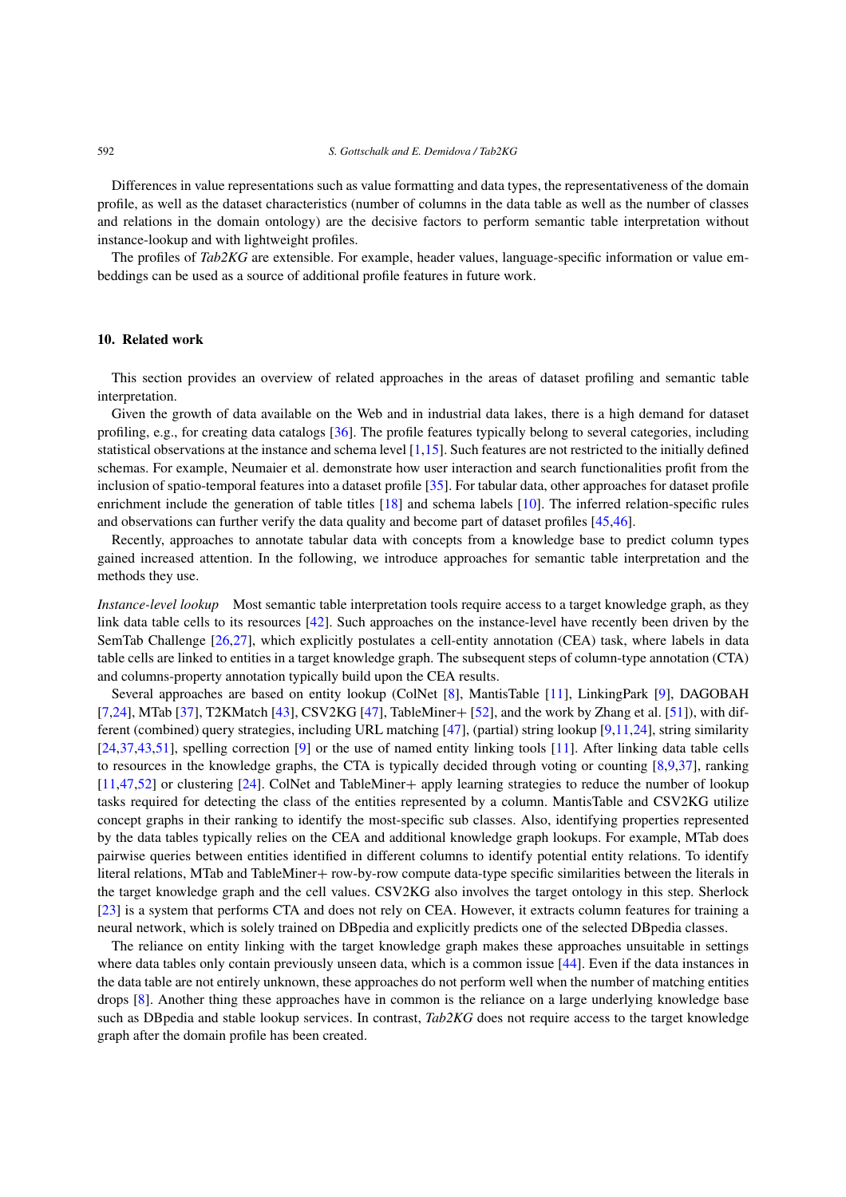Differences in value representations such as value formatting and data types, the representativeness of the domain profile, as well as the dataset characteristics (number of columns in the data table as well as the number of classes and relations in the domain ontology) are the decisive factors to perform semantic table interpretation without instance-lookup and with lightweight profiles.

The profiles of *Tab2KG* are extensible. For example, header values, language-specific information or value embeddings can be used as a source of additional profile features in future work.

# <span id="page-21-0"></span>**10. Related work**

This section provides an overview of related approaches in the areas of dataset profiling and semantic table interpretation.

Given the growth of data available on the Web and in industrial data lakes, there is a high demand for dataset profiling, e.g., for creating data catalogs [\[36](#page-26-12)]. The profile features typically belong to several categories, including statistical observations at the instance and schema level [\[1](#page-24-9),[15\]](#page-25-5). Such features are not restricted to the initially defined schemas. For example, Neumaier et al. demonstrate how user interaction and search functionalities profit from the inclusion of spatio-temporal features into a dataset profile [\[35](#page-26-13)]. For tabular data, other approaches for dataset profile enrichment include the generation of table titles [\[18](#page-25-15)] and schema labels [\[10](#page-24-10)]. The inferred relation-specific rules and observations can further verify the data quality and become part of dataset profiles [[45](#page-26-14)[,46](#page-26-15)].

Recently, approaches to annotate tabular data with concepts from a knowledge base to predict column types gained increased attention. In the following, we introduce approaches for semantic table interpretation and the methods they use.

*Instance-level lookup* Most semantic table interpretation tools require access to a target knowledge graph, as they link data table cells to its resources [\[42](#page-26-1)]. Such approaches on the instance-level have recently been driven by the SemTab Challenge [\[26](#page-25-12),[27](#page-25-16)], which explicitly postulates a cell-entity annotation (CEA) task, where labels in data table cells are linked to entities in a target knowledge graph. The subsequent steps of column-type annotation (CTA) and columns-property annotation typically build upon the CEA results.

Several approaches are based on entity lookup (ColNet [\[8](#page-24-1)], MantisTable [[11\]](#page-24-2), LinkingPark [\[9](#page-24-6)], DAGOBAH [[7](#page-24-11)[,24](#page-25-17)], MTab [[37\]](#page-26-3), T2KMatch [\[43](#page-26-7)], CSV2KG [\[47](#page-26-16)], TableMiner+ [\[52](#page-26-8)], and the work by Zhang et al. [[51\]](#page-26-11)), with different (combined) query strategies, including URL matching [\[47](#page-26-16)], (partial) string lookup [\[9](#page-24-6),[11](#page-24-2)[,24](#page-25-17)], string similarity [[24](#page-25-17)[,37](#page-26-3),[43](#page-26-7)[,51](#page-26-11)], spelling correction [\[9](#page-24-6)] or the use of named entity linking tools [[11\]](#page-24-2). After linking data table cells to resources in the knowledge graphs, the CTA is typically decided through voting or counting [\[8](#page-24-1),[9,](#page-24-6)[37](#page-26-3)], ranking [[11](#page-24-2)[,47](#page-26-16),[52\]](#page-26-8) or clustering [[24\]](#page-25-17). ColNet and TableMiner+ apply learning strategies to reduce the number of lookup tasks required for detecting the class of the entities represented by a column. MantisTable and CSV2KG utilize concept graphs in their ranking to identify the most-specific sub classes. Also, identifying properties represented by the data tables typically relies on the CEA and additional knowledge graph lookups. For example, MTab does pairwise queries between entities identified in different columns to identify potential entity relations. To identify literal relations, MTab and TableMiner+ row-by-row compute data-type specific similarities between the literals in the target knowledge graph and the cell values. CSV2KG also involves the target ontology in this step. Sherlock [[23\]](#page-25-8) is a system that performs CTA and does not rely on CEA. However, it extracts column features for training a neural network, which is solely trained on DBpedia and explicitly predicts one of the selected DBpedia classes.

The reliance on entity linking with the target knowledge graph makes these approaches unsuitable in settings where data tables only contain previously unseen data, which is a common issue [[44\]](#page-26-4). Even if the data instances in the data table are not entirely unknown, these approaches do not perform well when the number of matching entities drops [\[8](#page-24-1)]. Another thing these approaches have in common is the reliance on a large underlying knowledge base such as DBpedia and stable lookup services. In contrast, *Tab2KG* does not require access to the target knowledge graph after the domain profile has been created.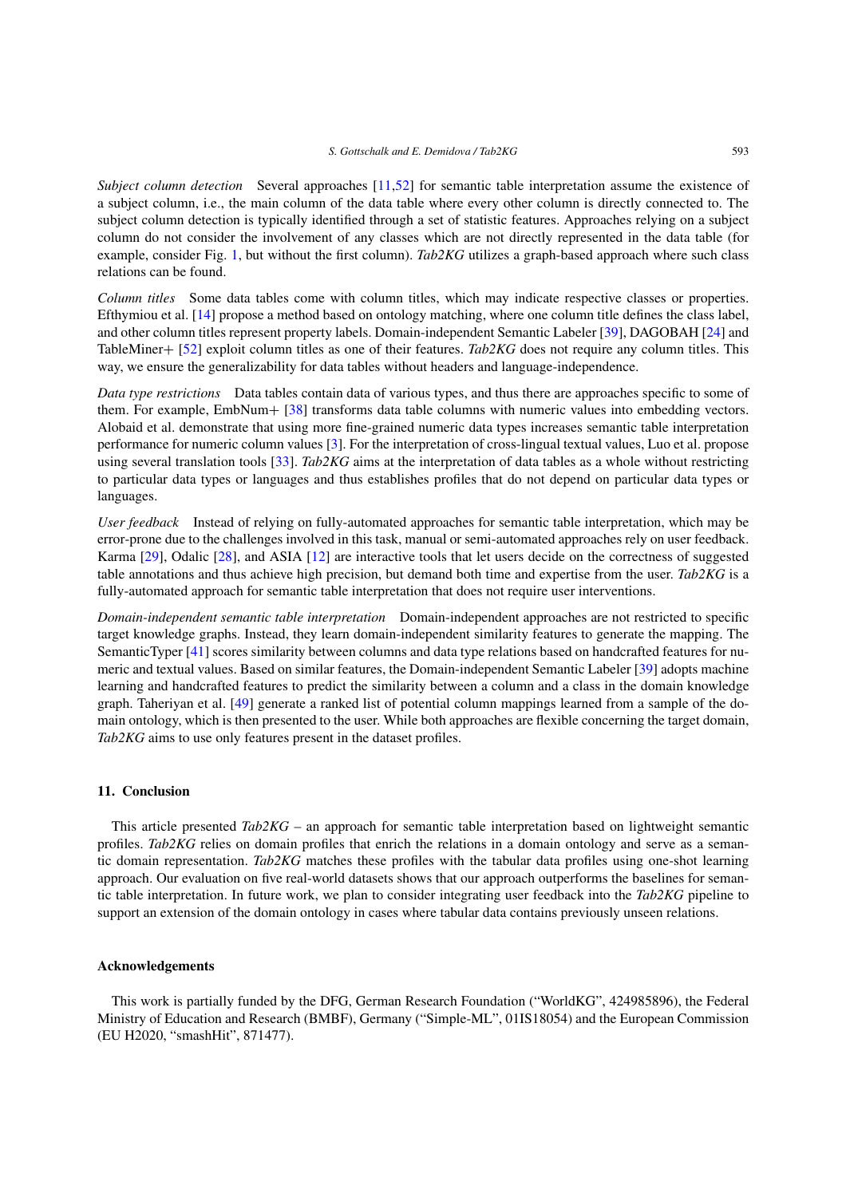*Subject column detection* Several approaches [\[11,](#page-24-2)[52](#page-26-8)] for semantic table interpretation assume the existence of a subject column, i.e., the main column of the data table where every other column is directly connected to. The subject column detection is typically identified through a set of statistic features. Approaches relying on a subject column do not consider the involvement of any classes which are not directly represented in the data table (for example, consider Fig. [1,](#page-2-2) but without the first column). *Tab2KG* utilizes a graph-based approach where such class relations can be found.

*Column titles* Some data tables come with column titles, which may indicate respective classes or properties. Efthymiou et al. [\[14](#page-25-13)] propose a method based on ontology matching, where one column title defines the class label, and other column titles represent property labels. Domain-independent Semantic Labeler [\[39\]](#page-26-5), DAGOBAH [[24\]](#page-25-17) and TableMiner+ [[52\]](#page-26-8) exploit column titles as one of their features. *Tab2KG* does not require any column titles. This way, we ensure the generalizability for data tables without headers and language-independence.

*Data type restrictions* Data tables contain data of various types, and thus there are approaches specific to some of them. For example, EmbNum+ [\[38](#page-26-17)] transforms data table columns with numeric values into embedding vectors. Alobaid et al. demonstrate that using more fine-grained numeric data types increases semantic table interpretation performance for numeric column values [[3\]](#page-24-4). For the interpretation of cross-lingual textual values, Luo et al. propose using several translation tools [[33\]](#page-25-18). *Tab2KG* aims at the interpretation of data tables as a whole without restricting to particular data types or languages and thus establishes profiles that do not depend on particular data types or languages.

*User feedback* Instead of relying on fully-automated approaches for semantic table interpretation, which may be error-prone due to the challenges involved in this task, manual or semi-automated approaches rely on user feedback. Karma [[29\]](#page-25-19), Odalic [\[28](#page-25-20)], and ASIA [[12\]](#page-24-12) are interactive tools that let users decide on the correctness of suggested table annotations and thus achieve high precision, but demand both time and expertise from the user. *Tab2KG* is a fully-automated approach for semantic table interpretation that does not require user interventions.

*Domain-independent semantic table interpretation* Domain-independent approaches are not restricted to specific target knowledge graphs. Instead, they learn domain-independent similarity features to generate the mapping. The SemanticTyper [\[41](#page-26-10)] scores similarity between columns and data type relations based on handcrafted features for numeric and textual values. Based on similar features, the Domain-independent Semantic Labeler [\[39](#page-26-5)] adopts machine learning and handcrafted features to predict the similarity between a column and a class in the domain knowledge graph. Taheriyan et al. [\[49](#page-26-18)] generate a ranked list of potential column mappings learned from a sample of the domain ontology, which is then presented to the user. While both approaches are flexible concerning the target domain, *Tab2KG* aims to use only features present in the dataset profiles.

# <span id="page-22-0"></span>**11. Conclusion**

This article presented *Tab2KG* – an approach for semantic table interpretation based on lightweight semantic profiles. *Tab2KG* relies on domain profiles that enrich the relations in a domain ontology and serve as a semantic domain representation. *Tab2KG* matches these profiles with the tabular data profiles using one-shot learning approach. Our evaluation on five real-world datasets shows that our approach outperforms the baselines for semantic table interpretation. In future work, we plan to consider integrating user feedback into the *Tab2KG* pipeline to support an extension of the domain ontology in cases where tabular data contains previously unseen relations.

# **Acknowledgements**

This work is partially funded by the DFG, German Research Foundation ("WorldKG", 424985896), the Federal Ministry of Education and Research (BMBF), Germany ("Simple-ML", 01IS18054) and the European Commission (EU H2020, "smashHit", 871477).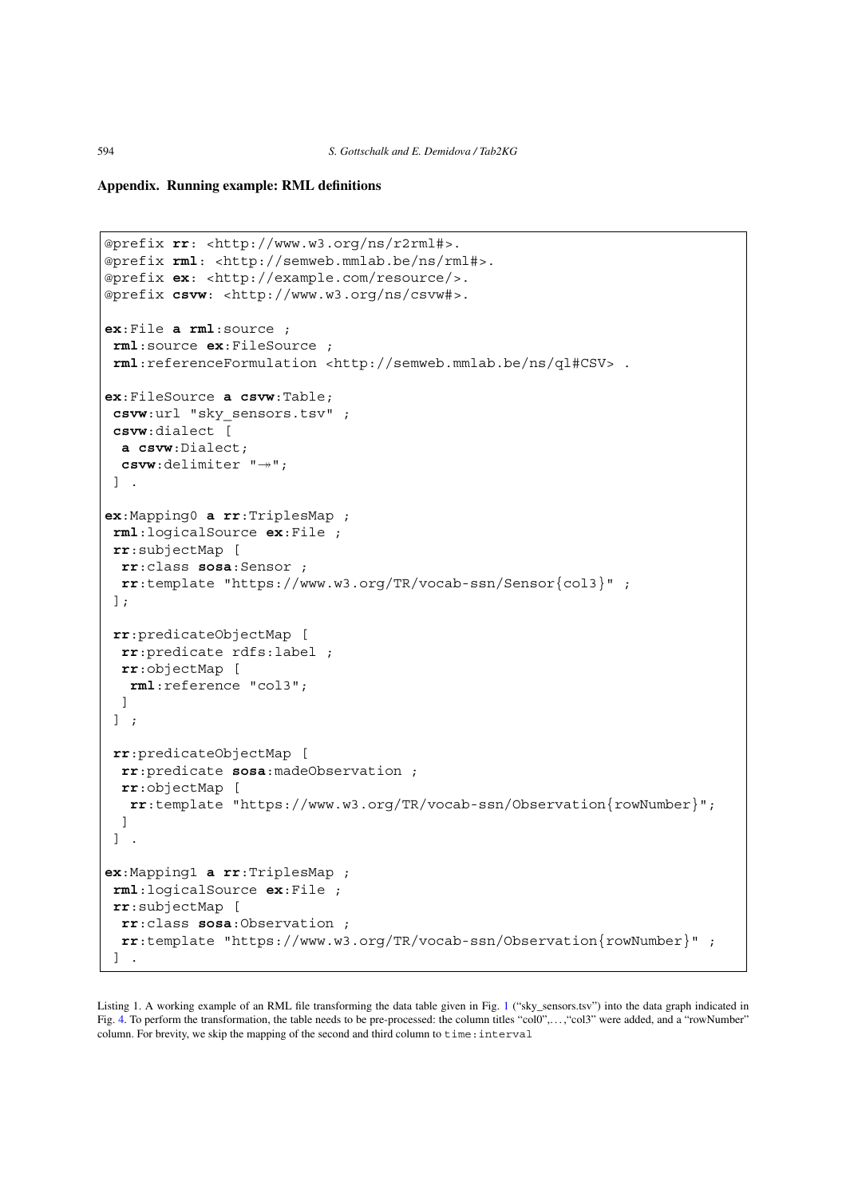# **Appendix. Running example: RML definitions**

```
@prefix rr: <http://www.w3.org/ns/r2rml#>.
@prefix rml: <http://semweb.mmlab.be/ns/rml#>.
@prefix ex: <http://example.com/resource/>.
@prefix csvw: <http://www.w3.org/ns/csvw#>.
ex:File a rml:source ;
rml:source ex:FileSource ;
rml:referenceFormulation <http://semweb.mmlab.be/ns/ql#CSV> .
ex:FileSource a csvw:Table;
csvw:url "sky_sensors.tsv" ;
csvw:dialect [
 a csvw:Dialect;
  csvw:delimiter "->";
] .
ex:Mapping0 a rr:TriplesMap ;
rml:logicalSource ex:File ;
rr:subjectMap [
 rr:class sosa:Sensor ;
 rr:template "https://www.w3.org/TR/vocab-ssn/Sensor{col3}" ;
];
rr:predicateObjectMap [
 rr:predicate rdfs:label ;
 rr:objectMap [
  rml:reference "col3";
 ]
] ;
rr:predicateObjectMap [
 rr:predicate sosa:madeObservation ;
 rr:objectMap [
  rr:template "https://www.w3.org/TR/vocab-ssn/Observation{rowNumber}";
 ]
] .
ex:Mapping1 a rr:TriplesMap ;
rml:logicalSource ex:File ;
rr:subjectMap [
 rr:class sosa:Observation ;
 rr:template "https://www.w3.org/TR/vocab-ssn/Observation{rowNumber}" ;
] .
```
<span id="page-23-0"></span>Listing [1](#page-2-2). A working example of an RML file transforming the data table given in Fig. 1 ("sky\_sensors.tsv") into the data graph indicated in Fig. [4](#page-3-2). To perform the transformation, the table needs to be pre-processed: the column titles "col0",..., "col3" were added, and a "rowNumber" column. For brevity, we skip the mapping of the second and third column to  $\tt time:interval$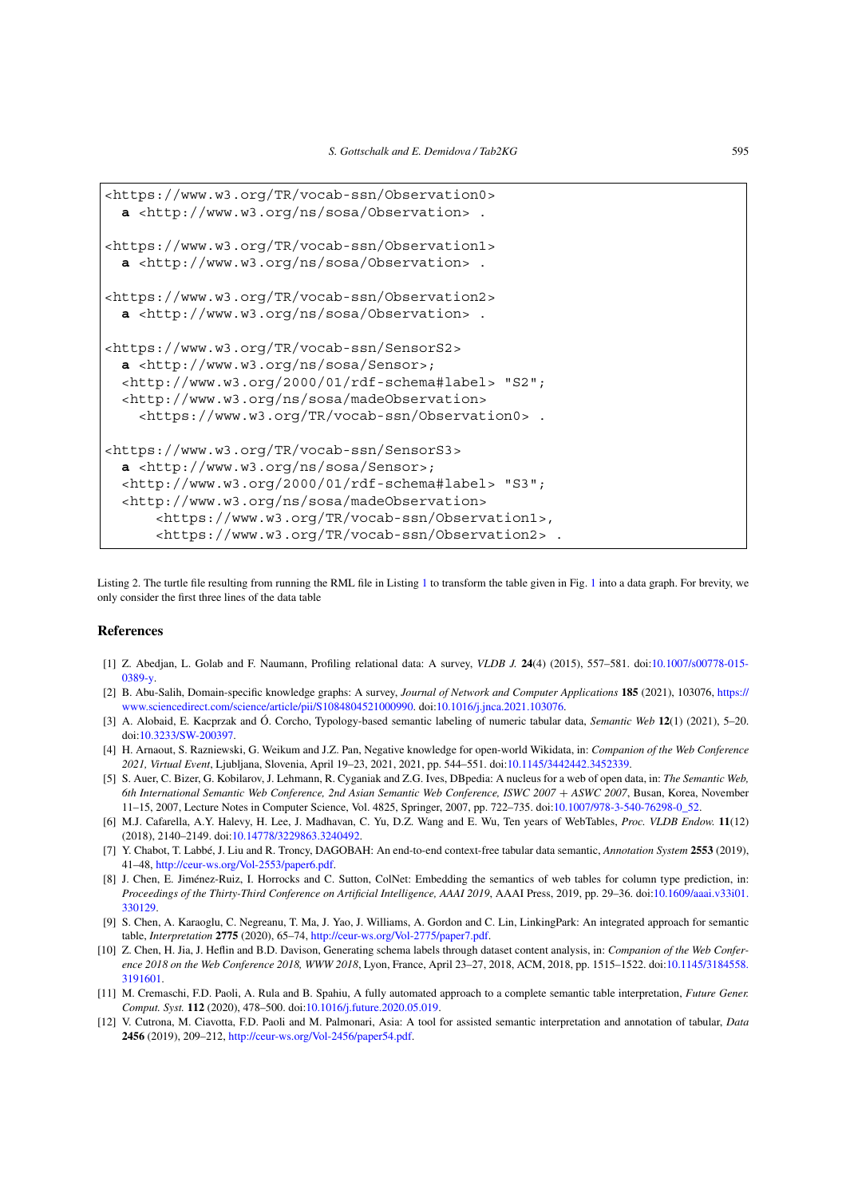```
<https://www.w3.org/TR/vocab-ssn/Observation0>
 a <http://www.w3.org/ns/sosa/Observation> .
<https://www.w3.org/TR/vocab-ssn/Observation1>
  a <http://www.w3.org/ns/sosa/Observation> .
<https://www.w3.org/TR/vocab-ssn/Observation2>
 a <http://www.w3.org/ns/sosa/Observation> .
<https://www.w3.org/TR/vocab-ssn/SensorS2>
 a <http://www.w3.org/ns/sosa/Sensor>;
  <http://www.w3.org/2000/01/rdf-schema#label> "S2";
  <http://www.w3.org/ns/sosa/madeObservation>
    <https://www.w3.org/TR/vocab-ssn/Observation0> .
<https://www.w3.org/TR/vocab-ssn/SensorS3>
 a <http://www.w3.org/ns/sosa/Sensor>;
  <http://www.w3.org/2000/01/rdf-schema#label> "S3";
  <http://www.w3.org/ns/sosa/madeObservation>
      <https://www.w3.org/TR/vocab-ssn/Observation1>,
      <https://www.w3.org/TR/vocab-ssn/Observation2> .
```
<span id="page-24-5"></span>Listing 2. The turtle file resulting from running the RML file in Listing [1](#page-23-0) to transform the table given in Fig. [1](#page-2-2) into a data graph. For brevity, we only consider the first three lines of the data table

# **References**

- <span id="page-24-9"></span>[1] Z. Abedjan, L. Golab and F. Naumann, Profiling relational data: A survey, *VLDB J.* **24**(4) (2015), 557–581. doi[:10.1007/s00778-015-](https://doi.org/10.1007/s00778-015-0389-y) [0389-y](https://doi.org/10.1007/s00778-015-0389-y).
- <span id="page-24-7"></span>[2] B. Abu-Salih, Domain-specific knowledge graphs: A survey, *Journal of Network and Computer Applications* **185** (2021), 103076, [https://](https://www.sciencedirect.com/science/article/pii/S1084804521000990) [www.sciencedirect.com/science/article/pii/S1084804521000990.](https://www.sciencedirect.com/science/article/pii/S1084804521000990) doi[:10.1016/j.jnca.2021.103076](https://doi.org/10.1016/j.jnca.2021.103076).
- <span id="page-24-4"></span>[3] A. Alobaid, E. Kacprzak and Ó. Corcho, Typology-based semantic labeling of numeric tabular data, *Semantic Web* **12**(1) (2021), 5–20. doi[:10.3233/SW-200397](https://doi.org/10.3233/SW-200397).
- <span id="page-24-8"></span>[4] H. Arnaout, S. Razniewski, G. Weikum and J.Z. Pan, Negative knowledge for open-world Wikidata, in: *Companion of the Web Conference 2021, Virtual Event*, Ljubljana, Slovenia, April 19–23, 2021, 2021, pp. 544–551. doi:[10.1145/3442442.3452339.](https://doi.org/10.1145/3442442.3452339)
- <span id="page-24-3"></span>[5] S. Auer, C. Bizer, G. Kobilarov, J. Lehmann, R. Cyganiak and Z.G. Ives, DBpedia: A nucleus for a web of open data, in: *The Semantic Web, 6th International Semantic Web Conference, 2nd Asian Semantic Web Conference, ISWC 2007* + *ASWC 2007*, Busan, Korea, November 11–15, 2007, Lecture Notes in Computer Science, Vol. 4825, Springer, 2007, pp. 722–735. doi[:10.1007/978-3-540-76298-0\\_52.](https://doi.org/10.1007/978-3-540-76298-0_52)
- <span id="page-24-0"></span>[6] M.J. Cafarella, A.Y. Halevy, H. Lee, J. Madhavan, C. Yu, D.Z. Wang and E. Wu, Ten years of WebTables, *Proc. VLDB Endow.* **11**(12) (2018), 2140–2149. doi[:10.14778/3229863.3240492.](https://doi.org/10.14778/3229863.3240492)
- <span id="page-24-11"></span>[7] Y. Chabot, T. Labbé, J. Liu and R. Troncy, DAGOBAH: An end-to-end context-free tabular data semantic, *Annotation System* **2553** (2019), 41–48, <http://ceur-ws.org/Vol-2553/paper6.pdf>.
- <span id="page-24-1"></span>[8] J. Chen, E. Jiménez-Ruiz, I. Horrocks and C. Sutton, ColNet: Embedding the semantics of web tables for column type prediction, in: *Proceedings of the Thirty-Third Conference on Artificial Intelligence, AAAI 2019*, AAAI Press, 2019, pp. 29–36. doi:[10.1609/aaai.v33i01.](https://doi.org/10.1609/aaai.v33i01.330129) [330129.](https://doi.org/10.1609/aaai.v33i01.330129)
- <span id="page-24-6"></span>[9] S. Chen, A. Karaoglu, C. Negreanu, T. Ma, J. Yao, J. Williams, A. Gordon and C. Lin, LinkingPark: An integrated approach for semantic table, *Interpretation* **2775** (2020), 65–74, <http://ceur-ws.org/Vol-2775/paper7.pdf>.
- <span id="page-24-10"></span>[10] Z. Chen, H. Jia, J. Heflin and B.D. Davison, Generating schema labels through dataset content analysis, in: *Companion of the Web Conference 2018 on the Web Conference 2018, WWW 2018*, Lyon, France, April 23–27, 2018, ACM, 2018, pp. 1515–1522. doi:[10.1145/3184558.](https://doi.org/10.1145/3184558.3191601) [3191601.](https://doi.org/10.1145/3184558.3191601)
- <span id="page-24-2"></span>[11] M. Cremaschi, F.D. Paoli, A. Rula and B. Spahiu, A fully automated approach to a complete semantic table interpretation, *Future Gener. Comput. Syst.* **112** (2020), 478–500. doi[:10.1016/j.future.2020.05.019](https://doi.org/10.1016/j.future.2020.05.019).
- <span id="page-24-12"></span>[12] V. Cutrona, M. Ciavotta, F.D. Paoli and M. Palmonari, Asia: A tool for assisted semantic interpretation and annotation of tabular, *Data* **2456** (2019), 209–212, [http://ceur-ws.org/Vol-2456/paper54.pdf.](http://ceur-ws.org/Vol-2456/paper54.pdf)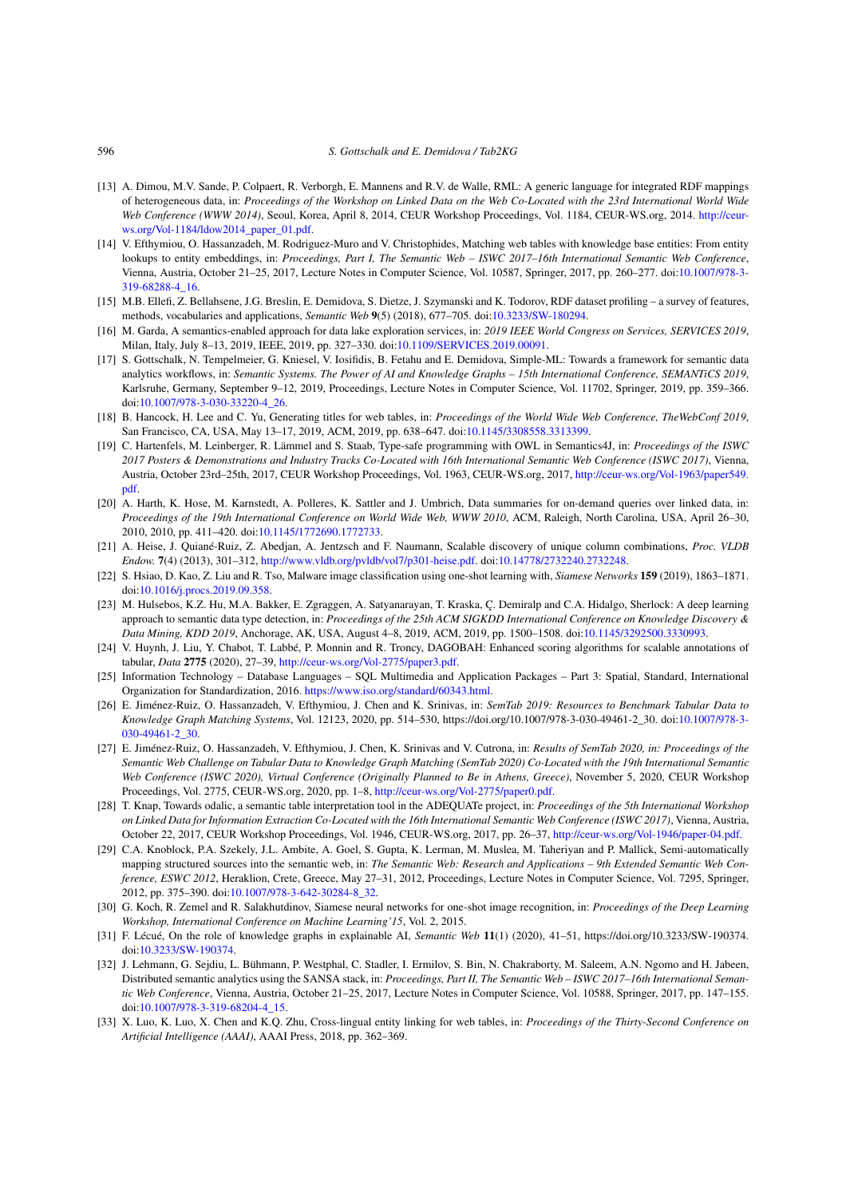- <span id="page-25-9"></span>[13] A. Dimou, M.V. Sande, P. Colpaert, R. Verborgh, E. Mannens and R.V. de Walle, RML: A generic language for integrated RDF mappings of heterogeneous data, in: *Proceedings of the Workshop on Linked Data on the Web Co-Located with the 23rd International World Wide Web Conference (WWW 2014)*, Seoul, Korea, April 8, 2014, CEUR Workshop Proceedings, Vol. 1184, CEUR-WS.org, 2014. [http://ceur](http://ceur-ws.org/Vol-1184/ldow2014_paper_01.pdf)[ws.org/Vol-1184/ldow2014\\_paper\\_01.pdf.](http://ceur-ws.org/Vol-1184/ldow2014_paper_01.pdf)
- <span id="page-25-13"></span>[14] V. Efthymiou, O. Hassanzadeh, M. Rodriguez-Muro and V. Christophides, Matching web tables with knowledge base entities: From entity lookups to entity embeddings, in: *Proceedings, Part I, The Semantic Web – ISWC 2017–16th International Semantic Web Conference*, Vienna, Austria, October 21–25, 2017, Lecture Notes in Computer Science, Vol. 10587, Springer, 2017, pp. 260–277. doi[:10.1007/978-3-](https://doi.org/10.1007/978-3-319-68288-4_16) [319-68288-4\\_16.](https://doi.org/10.1007/978-3-319-68288-4_16)
- <span id="page-25-5"></span>[15] M.B. Ellefi, Z. Bellahsene, J.G. Breslin, E. Demidova, S. Dietze, J. Szymanski and K. Todorov, RDF dataset profiling – a survey of features, methods, vocabularies and applications, *Semantic Web* **9**(5) (2018), 677–705. doi[:10.3233/SW-180294](https://doi.org/10.3233/SW-180294).
- <span id="page-25-1"></span>[16] M. Garda, A semantics-enabled approach for data lake exploration services, in: *2019 IEEE World Congress on Services, SERVICES 2019*, Milan, Italy, July 8–13, 2019, IEEE, 2019, pp. 327–330. doi[:10.1109/SERVICES.2019.00091](https://doi.org/10.1109/SERVICES.2019.00091).
- <span id="page-25-0"></span>[17] S. Gottschalk, N. Tempelmeier, G. Kniesel, V. Iosifidis, B. Fetahu and E. Demidova, Simple-ML: Towards a framework for semantic data analytics workflows, in: *Semantic Systems. The Power of AI and Knowledge Graphs – 15th International Conference, SEMANTiCS 2019*, Karlsruhe, Germany, September 9–12, 2019, Proceedings, Lecture Notes in Computer Science, Vol. 11702, Springer, 2019, pp. 359–366. doi[:10.1007/978-3-030-33220-4\\_26](https://doi.org/10.1007/978-3-030-33220-4_26).
- <span id="page-25-15"></span>[18] B. Hancock, H. Lee and C. Yu, Generating titles for web tables, in: *Proceedings of the World Wide Web Conference, TheWebConf 2019*, San Francisco, CA, USA, May 13–17, 2019, ACM, 2019, pp. 638–647. doi[:10.1145/3308558.3313399.](https://doi.org/10.1145/3308558.3313399)
- <span id="page-25-2"></span>[19] C. Hartenfels, M. Leinberger, R. Lämmel and S. Staab, Type-safe programming with OWL in Semantics4J, in: *Proceedings of the ISWC 2017 Posters & Demonstrations and Industry Tracks Co-Located with 16th International Semantic Web Conference (ISWC 2017)*, Vienna, Austria, October 23rd–25th, 2017, CEUR Workshop Proceedings, Vol. 1963, CEUR-WS.org, 2017, [http://ceur-ws.org/Vol-1963/paper549.](http://ceur-ws.org/Vol-1963/paper549.pdf) [pdf](http://ceur-ws.org/Vol-1963/paper549.pdf).
- <span id="page-25-6"></span>[20] A. Harth, K. Hose, M. Karnstedt, A. Polleres, K. Sattler and J. Umbrich, Data summaries for on-demand queries over linked data, in: *Proceedings of the 19th International Conference on World Wide Web, WWW 2010*, ACM, Raleigh, North Carolina, USA, April 26–30, 2010, 2010, pp. 411–420. doi:[10.1145/1772690.1772733.](https://doi.org/10.1145/1772690.1772733)
- <span id="page-25-11"></span>[21] A. Heise, J. Quiané-Ruiz, Z. Abedjan, A. Jentzsch and F. Naumann, Scalable discovery of unique column combinations, *Proc. VLDB Endow.* **7**(4) (2013), 301–312, <http://www.vldb.org/pvldb/vol7/p301-heise.pdf>. doi[:10.14778/2732240.2732248](https://doi.org/10.14778/2732240.2732248).
- <span id="page-25-14"></span>[22] S. Hsiao, D. Kao, Z. Liu and R. Tso, Malware image classification using one-shot learning with, *Siamese Networks* **159** (2019), 1863–1871. doi[:10.1016/j.procs.2019.09.358](https://doi.org/10.1016/j.procs.2019.09.358).
- <span id="page-25-8"></span>[23] M. Hulsebos, K.Z. Hu, M.A. Bakker, E. Zgraggen, A. Satyanarayan, T. Kraska, Ç. Demiralp and C.A. Hidalgo, Sherlock: A deep learning approach to semantic data type detection, in: *Proceedings of the 25th ACM SIGKDD International Conference on Knowledge Discovery & Data Mining, KDD 2019*, Anchorage, AK, USA, August 4–8, 2019, ACM, 2019, pp. 1500–1508. doi[:10.1145/3292500.3330993](https://doi.org/10.1145/3292500.3330993).
- <span id="page-25-17"></span>[24] V. Huynh, J. Liu, Y. Chabot, T. Labbé, P. Monnin and R. Troncy, DAGOBAH: Enhanced scoring algorithms for scalable annotations of tabular, *Data* **2775** (2020), 27–39, <http://ceur-ws.org/Vol-2775/paper3.pdf>.
- <span id="page-25-10"></span>[25] Information Technology – Database Languages – SQL Multimedia and Application Packages – Part 3: Spatial, Standard, International Organization for Standardization, 2016. [https://www.iso.org/standard/60343.html.](https://www.iso.org/standard/60343.html)
- <span id="page-25-12"></span>[26] E. Jiménez-Ruiz, O. Hassanzadeh, V. Efthymiou, J. Chen and K. Srinivas, in: *SemTab 2019: Resources to Benchmark Tabular Data to Knowledge Graph Matching Systems*, Vol. 12123, 2020, pp. 514–530, https://doi.org/10.1007/978-3-030-49461-2\_30. doi[:10.1007/978-3-](https://doi.org/10.1007/978-3-030-49461-2_30) [030-49461-2\\_30.](https://doi.org/10.1007/978-3-030-49461-2_30)
- <span id="page-25-16"></span>[27] E. Jiménez-Ruiz, O. Hassanzadeh, V. Efthymiou, J. Chen, K. Srinivas and V. Cutrona, in: *Results of SemTab 2020, in: Proceedings of the Semantic Web Challenge on Tabular Data to Knowledge Graph Matching (SemTab 2020) Co-Located with the 19th International Semantic Web Conference (ISWC 2020), Virtual Conference (Originally Planned to Be in Athens, Greece)*, November 5, 2020, CEUR Workshop Proceedings, Vol. 2775, CEUR-WS.org, 2020, pp. 1–8, <http://ceur-ws.org/Vol-2775/paper0.pdf>.
- <span id="page-25-20"></span>[28] T. Knap, Towards odalic, a semantic table interpretation tool in the ADEQUATe project, in: *Proceedings of the 5th International Workshop on Linked Data for Information Extraction Co-Located with the 16th International Semantic Web Conference (ISWC 2017)*, Vienna, Austria, October 22, 2017, CEUR Workshop Proceedings, Vol. 1946, CEUR-WS.org, 2017, pp. 26–37, <http://ceur-ws.org/Vol-1946/paper-04.pdf>.
- <span id="page-25-19"></span>[29] C.A. Knoblock, P.A. Szekely, J.L. Ambite, A. Goel, S. Gupta, K. Lerman, M. Muslea, M. Taheriyan and P. Mallick, Semi-automatically mapping structured sources into the semantic web, in: *The Semantic Web: Research and Applications – 9th Extended Semantic Web Conference, ESWC 2012*, Heraklion, Crete, Greece, May 27–31, 2012, Proceedings, Lecture Notes in Computer Science, Vol. 7295, Springer, 2012, pp. 375–390. doi:[10.1007/978-3-642-30284-8\\_32](https://doi.org/10.1007/978-3-642-30284-8_32).
- <span id="page-25-7"></span>[30] G. Koch, R. Zemel and R. Salakhutdinov, Siamese neural networks for one-shot image recognition, in: *Proceedings of the Deep Learning Workshop, International Conference on Machine Learning'15*, Vol. 2, 2015.
- <span id="page-25-3"></span>[31] F. Lécué, On the role of knowledge graphs in explainable AI, *Semantic Web* **11**(1) (2020), 41–51, https://doi.org/10.3233/SW-190374. doi[:10.3233/SW-190374](https://doi.org/10.3233/SW-190374).
- <span id="page-25-4"></span>[32] J. Lehmann, G. Sejdiu, L. Bühmann, P. Westphal, C. Stadler, I. Ermilov, S. Bin, N. Chakraborty, M. Saleem, A.N. Ngomo and H. Jabeen, Distributed semantic analytics using the SANSA stack, in: *Proceedings, Part II, The Semantic Web – ISWC 2017–16th International Semantic Web Conference*, Vienna, Austria, October 21–25, 2017, Lecture Notes in Computer Science, Vol. 10588, Springer, 2017, pp. 147–155. doi[:10.1007/978-3-319-68204-4\\_15](https://doi.org/10.1007/978-3-319-68204-4_15).
- <span id="page-25-18"></span>[33] X. Luo, K. Luo, X. Chen and K.Q. Zhu, Cross-lingual entity linking for web tables, in: *Proceedings of the Thirty-Second Conference on Artificial Intelligence (AAAI)*, AAAI Press, 2018, pp. 362–369.